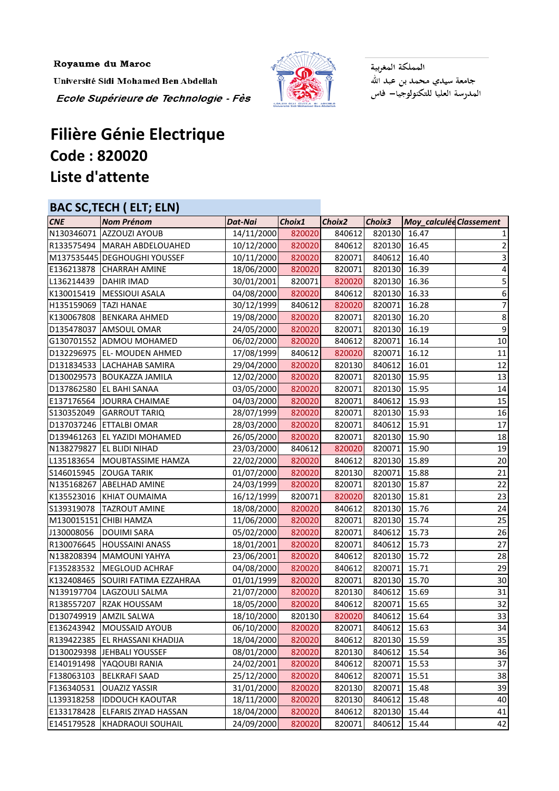Royaume du Maroc

Université Sidi Mohamed Ben Abdellah Ecole Supérieure de Technologie - Fès



المملكة المغربية جامعة سيدي محمد بن عبد الله<br>المدرسة العليا للتكنولوجيا— فاس

## **Filière Génie Electrique Code : 820020 Liste d'attente**

## **BAC SC,TECH ( ELT; ELN)**

| <b>CNE</b>            | <b>Nom Prénom</b>                 | Dat-Nai    | Choix1 | Choix <sub>2</sub> | Choix3       | Moy_calculée Classement |                 |
|-----------------------|-----------------------------------|------------|--------|--------------------|--------------|-------------------------|-----------------|
|                       | N130346071 AZZOUZI AYOUB          | 14/11/2000 | 820020 | 840612             | 820130 16.47 |                         |                 |
|                       | R133575494 MARAH ABDELOUAHED      | 10/12/2000 | 820020 | 840612             | 820130 16.45 |                         |                 |
|                       | M137535445 DEGHOUGHI YOUSSEF      | 10/11/2000 | 820020 | 820071             | 840612 16.40 |                         |                 |
|                       | E136213878 CHARRAH AMINE          | 18/06/2000 | 820020 | 820071             | 820130 16.39 |                         | 4               |
| L136214439            | <b>DAHIR IMAD</b>                 | 30/01/2001 | 820071 | 820020             | 820130 16.36 |                         |                 |
| K130015419            | <b>MESSIOUI ASALA</b>             | 04/08/2000 | 820020 | 840612             | 820130 16.33 |                         | 6               |
| H135159069 TAZI HANAE |                                   | 30/12/1999 | 840612 | 820020             | 820071 16.28 |                         | 7               |
|                       | K130067808 BENKARA AHMED          | 19/08/2000 | 820020 | 820071             | 820130 16.20 |                         | 8               |
|                       | D135478037 AMSOUL OMAR            | 24/05/2000 | 820020 | 820071             | 820130 16.19 |                         | $\overline{9}$  |
|                       | G130701552 ADMOU MOHAMED          | 06/02/2000 | 820020 | 840612             | 820071 16.14 |                         | 10              |
|                       | D132296975  EL- MOUDEN AHMED      | 17/08/1999 | 840612 | 820020             | 820071       | 16.12                   | 11              |
|                       | D131834533 LACHAHAB SAMIRA        | 29/04/2000 | 820020 | 820130             | 840612 16.01 |                         | 12              |
|                       | D130029573 BOUKAZZA JAMILA        | 12/02/2000 | 820020 | 820071             | 820130 15.95 |                         | 13              |
|                       | D137862580 EL BAHI SANAA          | 03/05/2000 | 820020 | 820071             | 820130 15.95 |                         | 14              |
|                       | E137176564 JOURRA CHAIMAE         | 04/03/2000 | 820020 | 820071             | 840612 15.93 |                         | 15              |
| S130352049            | <b>GARROUT TARIQ</b>              | 28/07/1999 | 820020 | 820071             | 820130 15.93 |                         | 16              |
|                       | D137037246 ETTALBI OMAR           | 28/03/2000 | 820020 | 820071             | 840612 15.91 |                         | 17              |
|                       | D139461263 EL YAZIDI MOHAMED      | 26/05/2000 | 820020 | 820071             | 820130 15.90 |                         | 18              |
|                       | N138279827 EL BLIDI NIHAD         | 23/03/2000 | 840612 | 820020             | 820071 15.90 |                         | 19              |
| L135183654            | MOUBTASSIME HAMZA                 | 22/02/2000 | 820020 | 840612             | 820130 15.89 |                         | 20              |
| S146015945            | <b>ZOUGA TARIK</b>                | 01/07/2000 | 820020 | 820130             | 820071 15.88 |                         | 21              |
|                       | N135168267 ABELHAD AMINE          | 24/03/1999 | 820020 | 820071             | 820130 15.87 |                         | 22              |
|                       | K135523016 KHIAT OUMAIMA          | 16/12/1999 | 820071 | 820020             | 820130 15.81 |                         | $\overline{23}$ |
| S139319078            | <b>TAZROUT AMINE</b>              | 18/08/2000 | 820020 | 840612             | 820130 15.76 |                         | 24              |
|                       | M130015151 CHIBI HAMZA            | 11/06/2000 | 820020 | 820071             | 820130 15.74 |                         | 25              |
| J130008056            | <b>DOUIMI SARA</b>                | 05/02/2000 | 820020 | 820071             | 840612 15.73 |                         | 26              |
|                       | R130076645 HOUSSAINI ANASS        | 18/01/2001 | 820020 | 820071             | 840612 15.73 |                         | 27              |
|                       | N138208394 MAMOUNI YAHYA          | 23/06/2001 | 820020 | 840612             | 820130 15.72 |                         | 28              |
| F135283532            | MEGLOUD ACHRAF                    | 04/08/2000 | 820020 | 840612             | 820071 15.71 |                         | 29              |
|                       | K132408465 SOUIRI FATIMA EZZAHRAA | 01/01/1999 | 820020 | 820071             | 820130 15.70 |                         | 30 <sup>1</sup> |
|                       | N139197704 LAGZOULI SALMA         | 21/07/2000 | 820020 | 820130             | 840612 15.69 |                         | 31              |
| R138557207            | <b>RZAK HOUSSAM</b>               | 18/05/2000 | 820020 | 840612             | 820071       | 15.65                   | 32              |
| D130749919            | <b>AMZIL SALWA</b>                | 18/10/2000 | 820130 | 820020             | 840612       | 15.64                   | 33              |
| E136243942            | <b>MOUSSAID AYOUB</b>             | 06/10/2000 | 820020 | 820071             | 840612 15.63 |                         | 34              |
| R139422385            | <b>EL RHASSANI KHADIJA</b>        | 18/04/2000 | 820020 | 840612             | 820130 15.59 |                         | 35              |
| D130029398            | JEHBALI YOUSSEF                   | 08/01/2000 | 820020 | 820130             | 840612 15.54 |                         | 36              |
| E140191498            | YAQOUBI RANIA                     | 24/02/2001 | 820020 | 840612             | 820071       | 15.53                   | 37              |
| F138063103            | <b>BELKRAFI SAAD</b>              | 25/12/2000 | 820020 | 840612             | 820071       | 15.51                   | 38              |
| F136340531            | <b>OUAZIZ YASSIR</b>              | 31/01/2000 | 820020 | 820130             | 820071       | 15.48                   | 39              |
| L139318258            | <b>IDDOUCH KAOUTAR</b>            | 18/11/2000 | 820020 | 820130             | 840612       | 15.48                   | 40              |
| E133178428            | <b>ELFARIS ZIYAD HASSAN</b>       | 18/04/2000 | 820020 | 840612             | 820130 15.44 |                         | 41              |
| E145179528            | KHADRAOUI SOUHAIL                 | 24/09/2000 | 820020 | 820071             | 840612       | 15.44                   | 42              |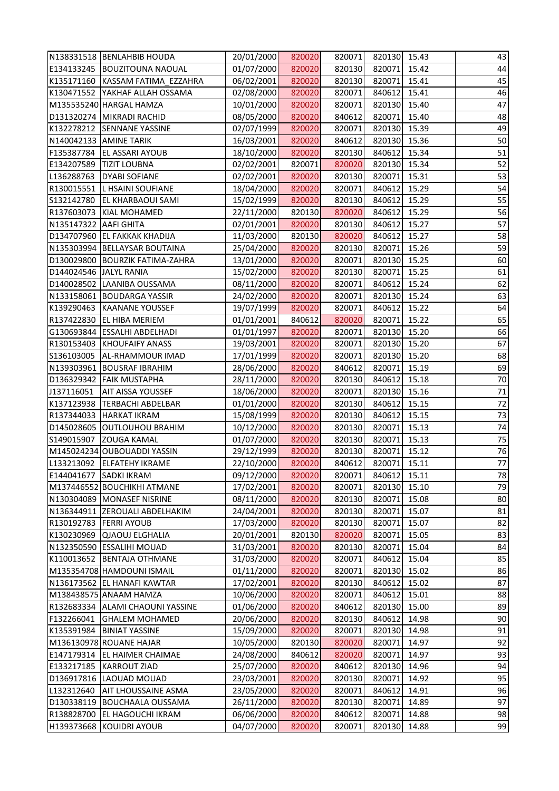|                        | N138331518   BENLAHBIB HOUDA     | 20/01/2000 | 820020 | 820071 | 820130 15.43 |       | 43 |
|------------------------|----------------------------------|------------|--------|--------|--------------|-------|----|
|                        | E134133245  BOUZITOUNA NAOUAL    | 01/07/2000 | 820020 | 820130 | 820071       | 15.42 | 44 |
|                        | K135171160 KASSAM FATIMA EZZAHRA | 06/02/2001 | 820020 | 820130 | 820071       | 15.41 | 45 |
|                        | K130471552 YAKHAF ALLAH OSSAMA   | 02/08/2000 | 820020 | 820071 | 840612       | 15.41 | 46 |
|                        | M135535240 HARGAL HAMZA          | 10/01/2000 | 820020 | 820071 | 820130       | 15.40 | 47 |
|                        | D131320274 MIKRADI RACHID        | 08/05/2000 | 820020 | 840612 | 820071       | 15.40 | 48 |
|                        | K132278212 SENNANE YASSINE       | 02/07/1999 | 820020 | 820071 | 820130       | 15.39 | 49 |
| N140042133 AMINE TARIK |                                  | 16/03/2001 | 820020 | 840612 | 820130       | 15.36 | 50 |
| F135387784             | <b>EL ASSARI AYOUB</b>           | 18/10/2000 | 820020 | 820130 | 840612       | 15.34 | 51 |
| E134207589             | <b>TIZIT LOUBNA</b>              | 02/02/2001 | 820071 | 820020 | 820130 15.34 |       | 52 |
| L136288763             | <b>DYABI SOFIANE</b>             | 02/02/2001 | 820020 | 820130 | 820071       | 15.31 | 53 |
| R130015551             | <b>L HSAINI SOUFIANE</b>         | 18/04/2000 | 820020 | 820071 | 840612       | 15.29 | 54 |
| S132142780             | <b>EL KHARBAOUI SAMI</b>         | 15/02/1999 | 820020 | 820130 | 840612       | 15.29 | 55 |
| R137603073             | KIAL MOHAMED                     | 22/11/2000 | 820130 | 820020 | 840612       | 15.29 | 56 |
| N135147322 AAFI GHITA  |                                  | 02/01/2001 | 820020 | 820130 | 840612       | 15.27 | 57 |
|                        | D134707960 EL FAKKAK KHADIJA     | 11/03/2000 | 820130 | 820020 | 840612       | 15.27 | 58 |
|                        | N135303994 BELLAYSAR BOUTAINA    | 25/04/2000 | 820020 | 820130 | 820071       | 15.26 | 59 |
|                        | D130029800 BOURZIK FATIMA-ZAHRA  | 13/01/2000 | 820020 | 820071 | 820130       | 15.25 | 60 |
| D144024546 JALYL RANIA |                                  | 15/02/2000 | 820020 | 820130 | 820071       | 15.25 | 61 |
|                        | D140028502 LAANIBA OUSSAMA       | 08/11/2000 | 820020 | 820071 | 840612       | 15.24 | 62 |
|                        | N133158061 BOUDARGA YASSIR       | 24/02/2000 | 820020 | 820071 | 820130       | 15.24 | 63 |
| K139290463             | KAANANE YOUSSEF                  | 19/07/1999 | 820020 | 820071 | 840612       | 15.22 | 64 |
| R137422830             | <b>EL HIBA MERIEM</b>            | 01/01/2001 | 840612 | 820020 | 820071       | 15.22 | 65 |
|                        | G130693844 ESSALHI ABDELHADI     | 01/01/1997 | 820020 | 820071 | 820130       | 15.20 | 66 |
| R130153403             | <b>KHOUFAIFY ANASS</b>           | 19/03/2001 | 820020 | 820071 | 820130       | 15.20 | 67 |
| S136103005             | AL-RHAMMOUR IMAD                 | 17/01/1999 | 820020 | 820071 | 820130       | 15.20 | 68 |
| N139303961             | <b>BOUSRAF IBRAHIM</b>           | 28/06/2000 | 820020 | 840612 | 820071       | 15.19 | 69 |
| D136329342             | <b>FAIK MUSTAPHA</b>             | 28/11/2000 | 820020 | 820130 | 840612       | 15.18 | 70 |
| J137116051             | <b>AIT AISSA YOUSSEF</b>         | 18/06/2000 | 820020 | 820071 | 820130       | 15.16 | 71 |
| K137123938             | <b>TERBACHI ABDELBAR</b>         | 01/01/2000 | 820020 | 820130 | 840612       | 15.15 | 72 |
|                        | R137344033 HARKAT IKRAM          | 15/08/1999 | 820020 | 820130 | 840612       | 15.15 | 73 |
|                        | D145028605 OUTLOUHOU BRAHIM      | 10/12/2000 | 820020 | 820130 | 820071       | 15.13 | 74 |
| S149015907             | <b>ZOUGA KAMAL</b>               | 01/07/2000 | 820020 | 820130 | 820071       | 15.13 | 75 |
|                        | M145024234 OUBOUADDI YASSIN      | 29/12/1999 | 820020 | 820130 | 820071       | 15.12 | 76 |
| L133213092             | <b>ELFATEHY IKRAME</b>           | 22/10/2000 | 820020 | 840612 | 820071       | 15.11 | 77 |
| E144041677             | <b>SADKI IKRAM</b>               | 09/12/2000 | 820020 | 820071 | 840612       | 15.11 | 78 |
|                        | M137446552 BOUCHIKHI ATMANE      | 17/02/2001 | 820020 | 820071 | 820130       | 15.10 | 79 |
|                        | N130304089 MONASEF NISRINE       | 08/11/2000 | 820020 | 820130 | 820071       | 15.08 | 80 |
|                        | N136344911 ZEROUALI ABDELHAKIM   | 24/04/2001 | 820020 | 820130 | 820071       | 15.07 | 81 |
| R130192783             | <b>FERRI AYOUB</b>               | 17/03/2000 | 820020 | 820130 | 820071       | 15.07 | 82 |
| K130230969             | <b>QJAOUJ ELGHALIA</b>           | 20/01/2001 | 820130 | 820020 | 820071       | 15.05 | 83 |
|                        | N132350590 ESSALIHI MOUAD        | 31/03/2001 | 820020 | 820130 | 820071       | 15.04 | 84 |
| K110013652             | <b>BENTAJA OTHMANE</b>           | 31/03/2000 | 820020 | 820071 | 840612       | 15.04 | 85 |
|                        | M135354708 HAMDOUNI ISMAIL       | 01/11/2000 | 820020 | 820071 | 820130       | 15.02 | 86 |
|                        | N136173562 EL HANAFI KAWTAR      | 17/02/2001 | 820020 | 820130 | 840612       | 15.02 | 87 |
|                        | M138438575 ANAAM HAMZA           | 10/06/2000 | 820020 | 820071 | 840612       | 15.01 | 88 |
| R132683334             | <b>ALAMI CHAOUNI YASSINE</b>     | 01/06/2000 | 820020 | 840612 | 820130       | 15.00 | 89 |
| F132266041             | <b>GHALEM MOHAMED</b>            | 20/06/2000 | 820020 | 820130 | 840612       | 14.98 | 90 |
| K135391984             | <b>BINIAT YASSINE</b>            | 15/09/2000 | 820020 | 820071 | 820130       | 14.98 | 91 |
|                        | M136130978 ROUANE HAJAR          | 10/05/2000 | 820130 | 820020 | 820071       | 14.97 | 92 |
| E147179314             | EL HAIMER CHAIMAE                | 24/08/2000 | 840612 | 820020 | 820071       | 14.97 | 93 |
| E133217185             | <b>KARROUT ZIAD</b>              | 25/07/2000 | 820020 | 840612 | 820130       | 14.96 | 94 |
| D136917816             | LAOUAD MOUAD                     | 23/03/2001 | 820020 | 820130 | 820071       | 14.92 | 95 |
| L132312640             | <b>AIT LHOUSSAINE ASMA</b>       | 23/05/2000 | 820020 | 820071 | 840612       | 14.91 | 96 |
| D130338119             | <b>BOUCHAALA OUSSAMA</b>         | 26/11/2000 | 820020 | 820130 | 820071       | 14.89 | 97 |
| R138828700             | EL HAGOUCHI IKRAM                | 06/06/2000 | 820020 | 840612 | 820071       | 14.88 | 98 |
|                        | H139373668 KOUIDRI AYOUB         | 04/07/2000 | 820020 | 820071 | 820130       | 14.88 | 99 |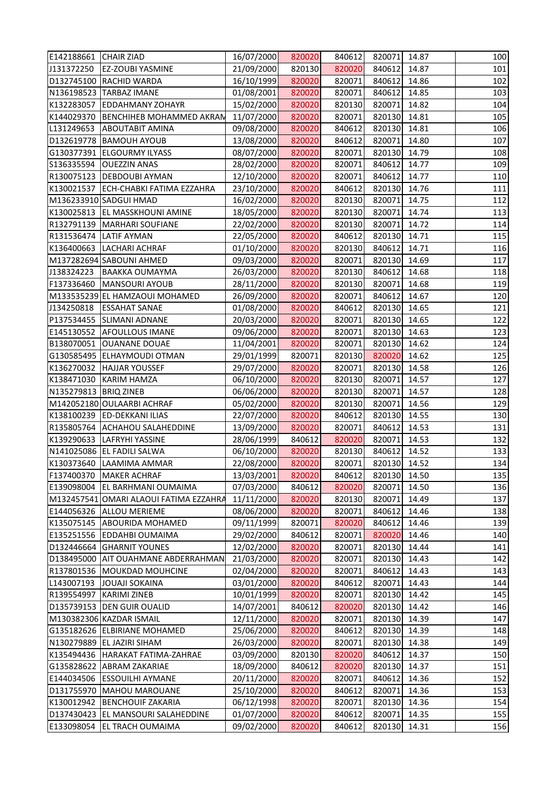| E142188661 CHAIR ZIAD |                                        | 16/07/2000 | 820020 | 840612 | 820071       | 14.87 | 100 |
|-----------------------|----------------------------------------|------------|--------|--------|--------------|-------|-----|
| J131372250            | <b>EZ-ZOUBI YASMINE</b>                | 21/09/2000 | 820130 | 820020 | 840612       | 14.87 | 101 |
|                       | D132745100 RACHID WARDA                | 16/10/1999 | 820020 | 820071 | 840612       | 14.86 | 102 |
|                       | N136198523 TARBAZ IMANE                | 01/08/2001 | 820020 | 820071 | 840612       | 14.85 | 103 |
| K132283057            | <b>EDDAHMANY ZOHAYR</b>                | 15/02/2000 | 820020 | 820130 | 820071       | 14.82 | 104 |
| K144029370            | <b>BENCHIHEB MOHAMMED AKRAN</b>        | 11/07/2000 | 820020 | 820071 | 820130       | 14.81 | 105 |
| L131249653            | <b>ABOUTABIT AMINA</b>                 | 09/08/2000 | 820020 | 840612 | 820130 14.81 |       | 106 |
| D132619778            | <b>BAMOUH AYOUB</b>                    | 13/08/2000 | 820020 | 840612 | 820071       | 14.80 | 107 |
|                       | G130377391 ELGOURMY ILYASS             | 08/07/2000 | 820020 | 820071 | 820130       | 14.79 | 108 |
| S136335594            | <b>OUEZZIN ANAS</b>                    | 28/02/2000 | 820020 | 820071 | 840612       | 14.77 | 109 |
|                       | R130075123 DEBDOUBI AYMAN              | 12/10/2000 | 820020 | 820071 | 840612       | 14.77 | 110 |
|                       | K130021537 ECH-CHABKI FATIMA EZZAHRA   | 23/10/2000 | 820020 | 840612 | 820130 14.76 |       | 111 |
|                       | M136233910 SADGUI HMAD                 | 16/02/2000 | 820020 | 820130 | 820071       | 14.75 | 112 |
|                       | K130025813 EL MASSKHOUNI AMINE         | 18/05/2000 | 820020 | 820130 | 820071       | 14.74 | 113 |
|                       | R132791139   MARHARI SOUFIANE          | 22/02/2000 | 820020 | 820130 | 820071       | 14.72 | 114 |
|                       | R131536474 LATIF AYMAN                 | 22/05/2000 | 820020 | 840612 | 820130       | 14.71 | 115 |
| K136400663            | <b>LACHARI ACHRAF</b>                  | 01/10/2000 | 820020 | 820130 | 840612       | 14.71 | 116 |
|                       | M137282694 SABOUNI AHMED               | 09/03/2000 | 820020 | 820071 | 820130       | 14.69 | 117 |
| J138324223            | <b>BAAKKA OUMAYMA</b>                  | 26/03/2000 | 820020 | 820130 | 840612       | 14.68 | 118 |
| F137336460            | MANSOURI AYOUB                         | 28/11/2000 | 820020 | 820130 | 820071       | 14.68 | 119 |
|                       | M133535239 EL HAMZAOUI MOHAMED         | 26/09/2000 | 820020 | 820071 | 840612       | 14.67 | 120 |
| J134250818            | <b>ESSAHAT SANAE</b>                   | 01/08/2000 | 820020 | 840612 | 820130 14.65 |       | 121 |
| P137534455            | <b>SLIMANI ADNANE</b>                  | 20/03/2000 | 820020 | 820071 | 820130       | 14.65 | 122 |
|                       | E145130552 AFOULLOUS IMANE             | 09/06/2000 | 820020 | 820071 | 820130       | 14.63 | 123 |
| B138070051            | <b>OUANANE DOUAE</b>                   | 11/04/2001 | 820020 | 820071 | 820130       | 14.62 | 124 |
|                       | G130585495 ELHAYMOUDI OTMAN            | 29/01/1999 | 820071 | 820130 | 820020       | 14.62 | 125 |
| K136270032            | HAJJAR YOUSSEF                         | 29/07/2000 | 820020 | 820071 | 820130       | 14.58 | 126 |
| K138471030            | KARIM HAMZA                            | 06/10/2000 | 820020 | 820130 | 820071       | 14.57 | 127 |
| N135279813 BRIQ ZINEB |                                        | 06/06/2000 | 820020 | 820130 | 820071       | 14.57 | 128 |
|                       | M142052180 OULAARBI ACHRAF             | 05/02/2000 | 820020 | 820130 | 820071       | 14.56 | 129 |
|                       | K138100239 ED-DEKKANI ILIAS            | 22/07/2000 | 820020 | 840612 | 820130 14.55 |       | 130 |
| R135805764            | <b>ACHAHOU SALAHEDDINE</b>             | 13/09/2000 | 820020 | 820071 | 840612       | 14.53 | 131 |
| K139290633            | <b>LAFRYHI YASSINE</b>                 | 28/06/1999 | 840612 | 820020 | 820071       | 14.53 | 132 |
|                       | N141025086 EL FADILI SALWA             | 06/10/2000 | 820020 | 820130 | 840612       | 14.52 | 133 |
| K130373640            | LAAMIMA AMMAR                          | 22/08/2000 | 820020 | 820071 | 820130       | 14.52 | 134 |
| F137400370            | <b>MAKER ACHRAF</b>                    | 13/03/2001 | 820020 | 840612 | 820130       | 14.50 | 135 |
| E139098004            | EL BARHMANI OUMAIMA                    | 07/03/2000 | 840612 | 820020 | 820071       | 14.50 | 136 |
|                       | M132457541 OMARI ALAOUI FATIMA EZZAHRA | 11/11/2000 | 820020 | 820130 | 820071       | 14.49 | 137 |
| E144056326            | <b>ALLOU MERIEME</b>                   | 08/06/2000 | 820020 | 820071 | 840612       | 14.46 | 138 |
| K135075145            | <b>ABOURIDA MOHAMED</b>                | 09/11/1999 | 820071 | 820020 | 840612       | 14.46 | 139 |
| E135251556            | <b>EDDAHBI OUMAIMA</b>                 | 29/02/2000 | 840612 | 820071 | 820020       | 14.46 | 140 |
| D132446664            | <b>GHARNIT YOUNES</b>                  | 12/02/2000 | 820020 | 820071 | 820130       | 14.44 | 141 |
| D138495000            | AIT OUAHMANE ABDERRAHMAN               | 21/03/2000 | 820020 | 820071 | 820130       | 14.43 | 142 |
| R137801536            | <b>MOUKDAD MOUHCINE</b>                | 02/04/2000 | 820020 | 820071 | 840612       | 14.43 | 143 |
| L143007193            | <b>JOUAJI SOKAINA</b>                  | 03/01/2000 | 820020 | 840612 | 820071       | 14.43 | 144 |
| R139554997            | <b>KARIMI ZINEB</b>                    | 10/01/1999 | 820020 | 820071 | 820130       | 14.42 | 145 |
|                       | D135739153 DEN GUIR OUALID             | 14/07/2001 | 840612 | 820020 | 820130       | 14.42 | 146 |
|                       | M130382306 KAZDAR ISMAIL               | 12/11/2000 | 820020 | 820071 | 820130       | 14.39 | 147 |
| G135182626            | <b>ELBIRIANE MOHAMED</b>               | 25/06/2000 | 820020 | 840612 | 820130       | 14.39 | 148 |
| N130279889            | <b>EL JAZIRI SIHAM</b>                 | 26/03/2000 | 820020 | 820071 | 820130       | 14.38 | 149 |
| K135494436            | HARAKAT FATIMA-ZAHRAE                  | 03/09/2000 | 820130 | 820020 | 840612       | 14.37 | 150 |
| G135828622            | <b>ABRAM ZAKARIAE</b>                  | 18/09/2000 | 840612 | 820020 | 820130       | 14.37 | 151 |
| E144034506            | <b>ESSOUILHI AYMANE</b>                | 20/11/2000 | 820020 | 820071 | 840612       | 14.36 | 152 |
| D131755970            | <b>MAHOU MAROUANE</b>                  | 25/10/2000 | 820020 | 840612 | 820071       | 14.36 | 153 |
| K130012942            | <b>BENCHOUIF ZAKARIA</b>               | 06/12/1998 | 820020 | 820071 | 820130       | 14.36 | 154 |
| D137430423            | EL MANSOURI SALAHEDDINE                | 01/07/2000 | 820020 | 840612 | 820071       | 14.35 | 155 |
| E133098054            | <b>EL TRACH OUMAIMA</b>                | 09/02/2000 | 820020 | 840612 | 820130       | 14.31 | 156 |
|                       |                                        |            |        |        |              |       |     |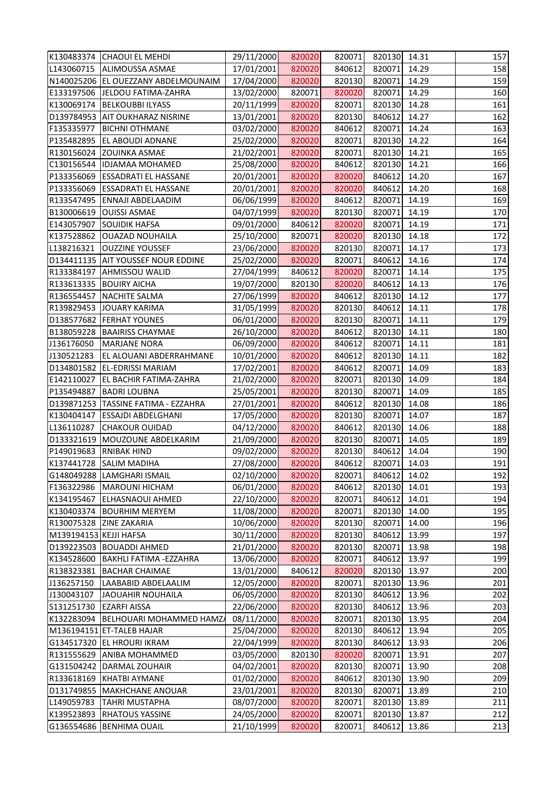|                        | K130483374 CHAOUI EL MEHDI          | 29/11/2000 | 820020 | 820071 | 820130 14.31 |       | 157 |
|------------------------|-------------------------------------|------------|--------|--------|--------------|-------|-----|
|                        | L143060715   ALIMOUSSA ASMAE        | 17/01/2001 | 820020 | 840612 | 820071       | 14.29 | 158 |
|                        | N140025206 EL OUEZZANY ABDELMOUNAIM | 17/04/2000 | 820020 | 820130 | 820071       | 14.29 | 159 |
|                        | E133197506 JELDOU FATIMA-ZAHRA      | 13/02/2000 | 820071 | 820020 | 820071       | 14.29 | 160 |
| K130069174             | <b>BELKOUBBI ILYASS</b>             | 20/11/1999 | 820020 | 820071 | 820130 14.28 |       | 161 |
|                        | D139784953 AIT OUKHARAZ NISRINE     | 13/01/2001 | 820020 | 820130 | 840612       | 14.27 | 162 |
| F135335977             | <b>BICHNI OTHMANE</b>               | 03/02/2000 | 820020 | 840612 | 820071       | 14.24 | 163 |
| P135482895             | <b>EL ABOUDI ADNANE</b>             | 25/02/2000 | 820020 | 820071 | 820130       | 14.22 | 164 |
|                        | R130156024 ZOUINKA ASMAE            | 21/02/2001 | 820020 | 820071 | 820130       | 14.21 | 165 |
|                        | C130156544  IDJAMAA MOHAMED         | 25/08/2000 | 820020 | 840612 | 820130 14.21 |       | 166 |
|                        | P133356069  ESSADRATI EL HASSANE    | 20/01/2001 | 820020 | 820020 | 840612       | 14.20 | 167 |
|                        | P133356069 ESSADRATI EL HASSANE     | 20/01/2001 | 820020 | 820020 | 840612       | 14.20 | 168 |
| R133547495             | <b>ENNAJI ABDELAADIM</b>            | 06/06/1999 | 820020 | 840612 | 820071       | 14.19 | 169 |
|                        | B130006619 OUISSI ASMAE             | 04/07/1999 | 820020 | 820130 | 820071       | 14.19 | 170 |
| E143057907             | <b>SOUIDIK HAFSA</b>                | 09/01/2000 | 840612 | 820020 | 820071       | 14.19 | 171 |
| K137528862             | <b>OUAZAD NOUHAILA</b>              | 25/10/2000 | 820071 | 820020 | 820130 14.18 |       | 172 |
| L138216321             | <b>OUZZINE YOUSSEF</b>              | 23/06/2000 | 820020 | 820130 | 820071       | 14.17 | 173 |
|                        | D134411135 AIT YOUSSEF NOUR EDDINE  | 25/02/2000 | 820020 | 820071 | 840612       | 14.16 | 174 |
|                        | R133384197 AHMISSOU WALID           | 27/04/1999 | 840612 | 820020 | 820071       | 14.14 | 175 |
|                        | R133613335 BOUIRY AICHA             | 19/07/2000 | 820130 | 820020 | 840612       | 14.13 | 176 |
| R136554457             | NACHITE SALMA                       | 27/06/1999 | 820020 | 840612 | 820130 14.12 |       | 177 |
|                        | R139829453 JOUARY KARIMA            | 31/05/1999 | 820020 | 820130 | 840612       | 14.11 | 178 |
|                        | D138577682 FERHAT YOUNES            | 06/01/2000 | 820020 | 820130 | 820071       | 14.11 | 179 |
|                        | B138059228 BAAIRISS CHAYMAE         | 26/10/2000 | 820020 | 840612 | 820130 14.11 |       | 180 |
| J136176050             | <b>MARJANE NORA</b>                 | 06/09/2000 | 820020 | 840612 | 820071       | 14.11 | 181 |
| J130521283             | EL ALOUANI ABDERRAHMANE             | 10/01/2000 | 820020 | 840612 | 820130       | 14.11 | 182 |
|                        | D134801582 EL-EDRISSI MARIAM        | 17/02/2001 | 820020 | 840612 | 820071       | 14.09 | 183 |
| E142110027             | <b>EL BACHIR FATIMA-ZAHRA</b>       | 21/02/2000 | 820020 | 820071 | 820130       | 14.09 | 184 |
| P135494887             | <b>BADRI LOUBNA</b>                 | 25/05/2001 | 820020 | 820130 | 820071       | 14.09 | 185 |
|                        | D139871253 TASSINE FATIMA - EZZAHRA | 27/01/2001 | 820020 | 840612 | 820130       | 14.08 | 186 |
|                        | K130404147 ESSAJDI ABDELGHANI       | 17/05/2000 | 820020 | 820130 | 820071       | 14.07 | 187 |
| L136110287             | <b>CHAKOUR OUIDAD</b>               | 04/12/2000 | 820020 | 840612 | 820130 14.06 |       | 188 |
| D133321619             | MOUZOUNE ABDELKARIM                 | 21/09/2000 | 820020 | 820130 | 820071       | 14.05 | 189 |
| P149019683             | <b>RNIBAK HIND</b>                  | 09/02/2000 | 820020 | 820130 | 840612       | 14.04 | 190 |
| K137441728             | <b>SALIM MADIHA</b>                 | 27/08/2000 | 820020 | 840612 | 820071       | 14.03 | 191 |
| G148049288             | <b>LAMGHARI ISMAIL</b>              | 02/10/2000 | 820020 | 820071 | 840612       | 14.02 | 192 |
| F136322986             | <b>MAROUNI HICHAM</b>               | 06/01/2000 | 820020 | 840612 | 820130       | 14.01 | 193 |
| K134195467             | <b>ELHASNAOUI AHMED</b>             | 22/10/2000 | 820020 | 820071 | 840612       | 14.01 | 194 |
| K130403374             | <b>BOURHIM MERYEM</b>               | 11/08/2000 | 820020 | 820071 | 820130       | 14.00 | 195 |
| R130075328             | <b>ZINE ZAKARIA</b>                 | 10/06/2000 | 820020 | 820130 | 820071       | 14.00 | 196 |
| M139194153 KEJJI HAFSA |                                     | 30/11/2000 | 820020 | 820130 | 840612       | 13.99 | 197 |
|                        | D139223503 BOUADDI AHMED            | 21/01/2000 | 820020 | 820130 | 820071       | 13.98 | 198 |
| K134528600             | <b>BAKHLI FATIMA - EZZAHRA</b>      | 13/06/2000 | 820020 | 820071 | 840612       | 13.97 | 199 |
| R138323381             | <b>BACHAR CHAIMAE</b>               | 13/01/2000 | 840612 | 820020 | 820130       | 13.97 | 200 |
| J136257150             | LAABABID ABDELAALIM                 | 12/05/2000 | 820020 | 820071 | 820130       | 13.96 | 201 |
| J130043107             | <b>JAOUAHIR NOUHAILA</b>            | 06/05/2000 | 820020 | 820130 | 840612       | 13.96 | 202 |
| S131251730             | <b>EZARFI AISSA</b>                 | 22/06/2000 | 820020 | 820130 | 840612       | 13.96 | 203 |
| K132283094             | <b>BELHOUARI MOHAMMED HAMZ</b>      | 08/11/2000 | 820020 | 820071 | 820130       | 13.95 | 204 |
|                        | M136194151 ET-TALEB HAJAR           | 25/04/2000 | 820020 | 820130 | 840612       | 13.94 | 205 |
| G134517320             | <b>EL HROURI IKRAM</b>              | 22/04/1999 | 820020 | 820130 | 840612       | 13.93 | 206 |
| R131555629             | <b>ANIBA MOHAMMED</b>               | 03/05/2000 | 820130 | 820020 | 820071       | 13.91 | 207 |
| G131504242             | DARMAL ZOUHAIR                      | 04/02/2001 | 820020 | 820130 | 820071       | 13.90 | 208 |
| R133618169             | <b>KHATBI AYMANE</b>                | 01/02/2000 | 820020 | 840612 | 820130       | 13.90 | 209 |
| D131749855             | <b>MAKHCHANE ANOUAR</b>             | 23/01/2001 | 820020 | 820130 | 820071       | 13.89 | 210 |
| L149059783             | <b>TAHRI MUSTAPHA</b>               | 08/07/2000 | 820020 | 820071 | 820130       | 13.89 | 211 |
| K139523893             | <b>RHATOUS YASSINE</b>              | 24/05/2000 | 820020 | 820071 | 820130       | 13.87 | 212 |
|                        | G136554686 BENHIMA OUAIL            | 21/10/1999 | 820020 | 820071 | 840612       | 13.86 | 213 |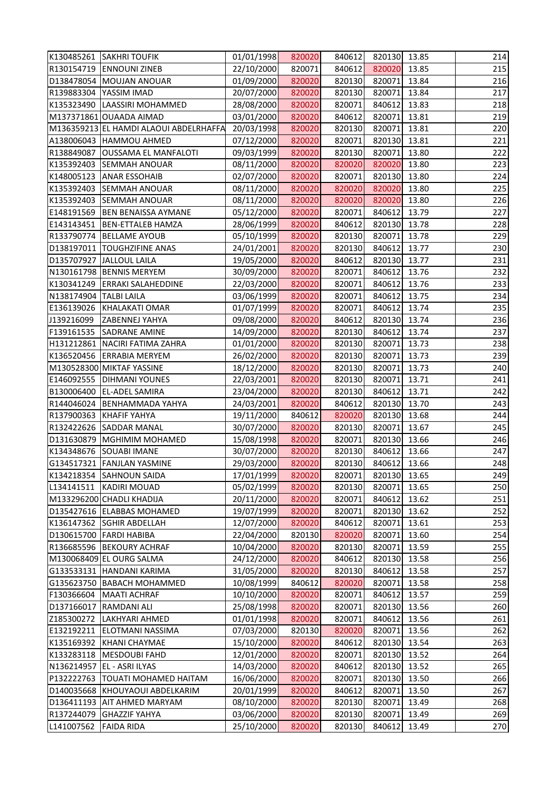|                        | K130485261 SAKHRI TOUFIK               | 01/01/1998 | 820020 | 840612 | 820130 13.85 |       | 214 |
|------------------------|----------------------------------------|------------|--------|--------|--------------|-------|-----|
|                        | R130154719 ENNOUNI ZINEB               | 22/10/2000 | 820071 | 840612 | 820020 13.85 |       | 215 |
|                        | D138478054 MOUJAN ANOUAR               | 01/09/2000 | 820020 | 820130 | 820071       | 13.84 | 216 |
|                        | R139883304 YASSIM IMAD                 | 20/07/2000 | 820020 | 820130 | 820071       | 13.84 | 217 |
|                        | K135323490 LAASSIRI MOHAMMED           | 28/08/2000 | 820020 | 820071 | 840612       | 13.83 | 218 |
|                        | M137371861 OUAADA AIMAD                | 03/01/2000 | 820020 | 840612 | 820071       | 13.81 | 219 |
|                        | M136359213 EL HAMDI ALAOUI ABDELRHAFFA | 20/03/1998 | 820020 | 820130 | 820071       | 13.81 | 220 |
|                        | A138006043 HAMMOU AHMED                | 07/12/2000 | 820020 | 820071 | 820130       | 13.81 | 221 |
| R138849087             | <b>OUSSAMA EL MANFALOTI</b>            | 09/03/1999 | 820020 | 820130 | 820071       | 13.80 | 222 |
|                        | K135392403 SEMMAH ANOUAR               | 08/11/2000 | 820020 | 820020 | 820020 13.80 |       | 223 |
|                        | K148005123 ANAR ESSOHAIB               | 02/07/2000 | 820020 | 820071 | 820130 13.80 |       | 224 |
|                        | K135392403 SEMMAH ANOUAR               | 08/11/2000 | 820020 | 820020 | 820020 13.80 |       | 225 |
| K135392403             | <b>SEMMAH ANOUAR</b>                   | 08/11/2000 | 820020 | 820020 | 820020       | 13.80 | 226 |
|                        | E148191569 BEN BENAISSA AYMANE         | 05/12/2000 | 820020 | 820071 | 840612 13.79 |       | 227 |
| E143143451             | <b>BEN-ETTALEB HAMZA</b>               | 28/06/1999 | 820020 | 840612 | 820130 13.78 |       | 228 |
|                        | R133790774 BELLAME AYOUB               | 05/10/1999 | 820020 | 820130 | 820071       | 13.78 | 229 |
|                        | D138197011  TOUGHZIFINE ANAS           | 24/01/2001 | 820020 | 820130 | 840612 13.77 |       | 230 |
|                        | D135707927 JALLOUL LAILA               | 19/05/2000 | 820020 | 840612 | 820130 13.77 |       | 231 |
|                        | N130161798 BENNIS MERYEM               | 30/09/2000 | 820020 | 820071 | 840612       | 13.76 | 232 |
|                        | K130341249 ERRAKI SALAHEDDINE          | 22/03/2000 | 820020 | 820071 | 840612 13.76 |       | 233 |
| N138174904 TALBI LAILA |                                        | 03/06/1999 | 820020 | 820071 | 840612       | 13.75 | 234 |
|                        | E136139026 KHALAKATI OMAR              | 01/07/1999 | 820020 | 820071 | 840612       | 13.74 | 235 |
| J139216099             | ZABENNEJ YAHYA                         | 09/08/2000 | 820020 | 840612 | 820130       | 13.74 | 236 |
| F139161535             | <b>SADRANE AMINE</b>                   | 14/09/2000 | 820020 | 820130 | 840612       | 13.74 | 237 |
|                        | H131212861 NACIRI FATIMA ZAHRA         | 01/01/2000 | 820020 | 820130 | 820071       | 13.73 | 238 |
|                        | K136520456 ERRABIA MERYEM              | 26/02/2000 | 820020 | 820130 | 820071       | 13.73 | 239 |
|                        | M130528300 MIKTAF YASSINE              | 18/12/2000 | 820020 | 820130 | 820071       | 13.73 | 240 |
|                        | E146092555   DIHMANI YOUNES            | 22/03/2001 | 820020 | 820130 | 820071       | 13.71 | 241 |
|                        | B130006400 EL-ADEL SAMIRA              | 23/04/2000 | 820020 | 820130 | 840612       | 13.71 | 242 |
|                        | R144046024 BENHAMMADA YAHYA            | 24/03/2001 | 820020 | 840612 | 820130       | 13.70 | 243 |
|                        | R137900363 KHAFIF YAHYA                | 19/11/2000 | 840612 | 820020 | 820130 13.68 |       | 244 |
|                        | R132422626 SADDAR MANAL                | 30/07/2000 | 820020 | 820130 | 820071       | 13.67 | 245 |
| D131630879             | MGHIMIM MOHAMED                        | 15/08/1998 | 820020 | 820071 | 820130       | 13.66 | 246 |
|                        | K134348676 SOUABI IMANE                | 30/07/2000 | 820020 | 820130 | 840612       | 13.66 | 247 |
|                        | G134517321 FANJLAN YASMINE             | 29/03/2000 | 820020 | 820130 | 840612       | 13.66 | 248 |
| K134218354             | <b>SAHNOUN SAIDA</b>                   | 17/01/1999 | 820020 | 820071 | 820130       | 13.65 | 249 |
| L134141511             | <b>KADIRI MOUAD</b>                    | 05/02/1999 | 820020 | 820130 | 820071       | 13.65 | 250 |
|                        | M133296200 CHADLI KHADIJA              | 20/11/2000 | 820020 | 820071 | 840612       | 13.62 | 251 |
|                        | D135427616 ELABBAS MOHAMED             | 19/07/1999 | 820020 | 820071 | 820130       | 13.62 | 252 |
| K136147362             | <b>SGHIR ABDELLAH</b>                  | 12/07/2000 | 820020 | 840612 | 820071       | 13.61 | 253 |
|                        | D130615700 FARDI HABIBA                | 22/04/2000 | 820130 | 820020 | 820071       | 13.60 | 254 |
|                        | R136685596 BEKOURY ACHRAF              | 10/04/2000 | 820020 | 820130 | 820071       | 13.59 | 255 |
|                        | M130068409 EL OURG SALMA               | 24/12/2000 | 820020 | 840612 | 820130       | 13.58 | 256 |
|                        | G133533131 HANDANI KARIMA              | 31/05/2000 | 820020 | 820130 | 840612       | 13.58 | 257 |
| G135623750             | <b>BABACH MOHAMMED</b>                 | 10/08/1999 | 840612 | 820020 | 820071       | 13.58 | 258 |
| F130366604             | <b>MAATI ACHRAF</b>                    | 10/10/2000 | 820020 | 820071 | 840612       | 13.57 | 259 |
| D137166017             | <b>RAMDANI ALI</b>                     | 25/08/1998 | 820020 | 820071 | 820130       | 13.56 | 260 |
| Z185300272             | LAKHYARI AHMED                         | 01/01/1998 | 820020 | 820071 | 840612       | 13.56 | 261 |
| E132192211             | <b>ELOTMANI NASSIMA</b>                | 07/03/2000 | 820130 | 820020 | 820071       | 13.56 | 262 |
| K135169392             | KHANI CHAYMAE                          | 15/10/2000 | 820020 | 840612 | 820130       | 13.54 | 263 |
|                        | K133283118   MESDOUBI FAHD             | 12/01/2000 | 820020 | 820071 | 820130       | 13.52 | 264 |
| N136214957             | <b>EL - ASRI ILYAS</b>                 | 14/03/2000 | 820020 | 840612 | 820130       | 13.52 | 265 |
| P132222763             | TOUATI MOHAMED HAITAM                  | 16/06/2000 | 820020 | 820071 | 820130       | 13.50 | 266 |
| D140035668             | KHOUYAOUI ABDELKARIM                   | 20/01/1999 | 820020 | 840612 | 820071       | 13.50 | 267 |
| D136411193             | AIT AHMED MARYAM                       | 08/10/2000 | 820020 | 820130 | 820071       | 13.49 | 268 |
| R137244079             | <b>GHAZZIF YAHYA</b>                   | 03/06/2000 | 820020 | 820130 | 820071       | 13.49 | 269 |
| L141007562             | <b>FAIDA RIDA</b>                      | 25/10/2000 | 820020 | 820130 | 840612       | 13.49 | 270 |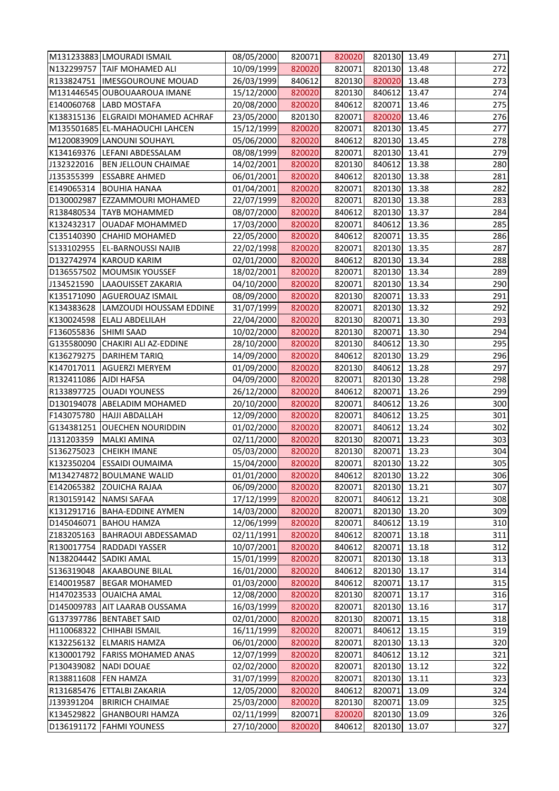|                       | M131233883 LMOURADI ISMAIL         | 08/05/2000 | 820071 | 820020 | 820130 13.49 |       | 271 |
|-----------------------|------------------------------------|------------|--------|--------|--------------|-------|-----|
|                       | N132299757 TAIF MOHAMED ALI        | 10/09/1999 | 820020 | 820071 | 820130 13.48 |       | 272 |
|                       | R133824751  IMESGOUROUNE MOUAD     | 26/03/1999 | 840612 | 820130 | 820020       | 13.48 | 273 |
|                       | M131446545 OUBOUAAROUA IMANE       | 15/12/2000 | 820020 | 820130 | 840612 13.47 |       | 274 |
|                       | E140060768 LABD MOSTAFA            | 20/08/2000 | 820020 | 840612 | 820071 13.46 |       | 275 |
|                       | K138315136 ELGRAIDI MOHAMED ACHRAF | 23/05/2000 | 820130 | 820071 | 820020 13.46 |       | 276 |
|                       | M135501685 EL-MAHAOUCHI LAHCEN     | 15/12/1999 | 820020 | 820071 | 820130 13.45 |       | 277 |
|                       | M120083909 LANOUNI SOUHAYL         | 05/06/2000 | 820020 | 840612 | 820130 13.45 |       | 278 |
|                       | K134169376 LEFANI ABDESSALAM       | 08/08/1999 | 820020 | 820071 | 820130 13.41 |       | 279 |
| J132322016            | <b>BEN JELLOUN CHAIMAE</b>         | 14/02/2001 | 820020 | 820130 | 840612 13.38 |       | 280 |
| J135355399            | <b>ESSABRE AHMED</b>               | 06/01/2001 | 820020 | 840612 | 820130 13.38 |       | 281 |
| E149065314            | <b>BOUHIA HANAA</b>                | 01/04/2001 | 820020 | 820071 | 820130 13.38 |       | 282 |
| D130002987            | <b>EZZAMMOURI MOHAMED</b>          | 22/07/1999 | 820020 | 820071 | 820130 13.38 |       | 283 |
|                       | R138480534 TAYB MOHAMMED           | 08/07/2000 | 820020 | 840612 | 820130 13.37 |       | 284 |
| K132432317            | OUADAF MOHAMMED                    | 17/03/2000 | 820020 | 820071 | 840612 13.36 |       | 285 |
| C135140390            | <b>CHAHID MOHAMED</b>              | 22/05/2000 | 820020 | 840612 | 820071 13.35 |       | 286 |
| S133102955            | <b>EL-BARNOUSSI NAJIB</b>          | 22/02/1998 | 820020 | 820071 | 820130 13.35 |       | 287 |
| D132742974            | <b>KAROUD KARIM</b>                | 02/01/2000 | 820020 | 840612 | 820130 13.34 |       | 288 |
|                       | D136557502 MOUMSIK YOUSSEF         | 18/02/2001 | 820020 | 820071 | 820130 13.34 |       | 289 |
| J134521590            | LAAOUISSET ZAKARIA                 | 04/10/2000 | 820020 | 820071 | 820130 13.34 |       | 290 |
| K135171090            | <b>AGUEROUAZ ISMAIL</b>            | 08/09/2000 | 820020 | 820130 | 820071 13.33 |       | 291 |
| K134383628            | LAMZOUDI HOUSSAM EDDINE            | 31/07/1999 | 820020 | 820071 | 820130 13.32 |       | 292 |
| K130024598            | <b>ELALJ ABDELILAH</b>             | 22/04/2000 | 820020 | 820130 | 820071       | 13.30 | 293 |
| F136055836 SHIMI SAAD |                                    | 10/02/2000 | 820020 | 820130 | 820071 13.30 |       | 294 |
|                       | G135580090 CHAKIRI ALI AZ-EDDINE   | 28/10/2000 | 820020 | 820130 | 840612 13.30 |       | 295 |
|                       | K136279275   DARIHEM TARIQ         | 14/09/2000 | 820020 | 840612 | 820130 13.29 |       | 296 |
| K147017011            | <b>AGUERZI MERYEM</b>              | 01/09/2000 | 820020 | 820130 | 840612       | 13.28 | 297 |
| R132411086            | <b>AJDI HAFSA</b>                  | 04/09/2000 | 820020 | 820071 | 820130 13.28 |       | 298 |
|                       | R133897725 OUADI YOUNESS           | 26/12/2000 | 820020 | 840612 | 820071 13.26 |       | 299 |
|                       | D130194078 ABELADIM MOHAMED        | 20/10/2000 | 820020 | 820071 | 840612 13.26 |       | 300 |
| F143075780            | <b>HAJJI ABDALLAH</b>              | 12/09/2000 | 820020 | 820071 | 840612 13.25 |       | 301 |
|                       | G134381251 OUECHEN NOURIDDIN       | 01/02/2000 | 820020 | 820071 | 840612 13.24 |       | 302 |
| J131203359            | <b>MALKI AMINA</b>                 | 02/11/2000 | 820020 | 820130 | 820071 13.23 |       | 303 |
| S136275023            | <b>CHEIKH IMANE</b>                | 05/03/2000 | 820020 | 820130 | 820071 13.23 |       | 304 |
| K132350204            | <b>ESSAIDI OUMAIMA</b>             | 15/04/2000 | 820020 | 820071 | 820130 13.22 |       | 305 |
|                       | M134274872 BOULMANE WALID          | 01/01/2000 | 820020 | 840612 | 820130 13.22 |       | 306 |
| E142065382            | <b>ZOUICHA RAJAA</b>               | 06/09/2000 | 820020 | 820071 | 820130 13.21 |       | 307 |
| R130159142            | <b>NAMSI SAFAA</b>                 | 17/12/1999 | 820020 | 820071 | 840612       | 13.21 | 308 |
| K131291716            | <b>BAHA-EDDINE AYMEN</b>           | 14/03/2000 | 820020 | 820071 | 820130 13.20 |       | 309 |
| D145046071            | <b>BAHOU HAMZA</b>                 | 12/06/1999 | 820020 | 820071 | 840612       | 13.19 | 310 |
| Z183205163            | <b>BAHRAOUI ABDESSAMAD</b>         | 02/11/1991 | 820020 | 840612 | 820071       | 13.18 | 311 |
| R130017754            | <b>RADDADI YASSER</b>              | 10/07/2001 | 820020 | 840612 | 820071       | 13.18 | 312 |
| N138204442            | <b>SADIKI AMAL</b>                 | 15/01/1999 | 820020 | 820071 | 820130 13.18 |       | 313 |
| S136319048            | <b>AKAABOUNE BILAL</b>             | 16/01/2000 | 820020 | 840612 | 820130 13.17 |       | 314 |
| E140019587            | <b>BEGAR MOHAMED</b>               | 01/03/2000 | 820020 | 840612 | 820071       | 13.17 | 315 |
| H147023533            | <b>OUAICHA AMAL</b>                | 12/08/2000 | 820020 | 820130 | 820071 13.17 |       | 316 |
|                       | D145009783 AIT LAARAB OUSSAMA      | 16/03/1999 | 820020 | 820071 | 820130 13.16 |       | 317 |
|                       | G137397786 BENTABET SAID           | 02/01/2000 | 820020 | 820130 | 820071       | 13.15 | 318 |
| H110068322            | <b>CHIHABI ISMAIL</b>              | 16/11/1999 | 820020 | 820071 | 840612       | 13.15 | 319 |
| K132256132            | <b>ELMARIS HAMZA</b>               | 06/01/2000 | 820020 | 820071 | 820130       | 13.13 | 320 |
| K130001792            | <b>FARISS MOHAMED ANAS</b>         | 12/07/1999 | 820020 | 820071 | 840612 13.12 |       | 321 |
| P130439082            | <b>NADI DOUAE</b>                  | 02/02/2000 | 820020 | 820071 | 820130 13.12 |       | 322 |
| R138811608            | <b>FEN HAMZA</b>                   | 31/07/1999 | 820020 | 820071 | 820130 13.11 |       | 323 |
| R131685476            | ETTALBI ZAKARIA                    | 12/05/2000 | 820020 | 840612 | 820071       | 13.09 | 324 |
| J139391204            | <b>BRIRICH CHAIMAE</b>             | 25/03/2000 | 820020 | 820130 | 820071       | 13.09 | 325 |
| K134529822            | <b>GHANBOURI HAMZA</b>             | 02/11/1999 | 820071 | 820020 | 820130 13.09 |       | 326 |
| D136191172            | <b>FAHMI YOUNESS</b>               | 27/10/2000 | 820020 | 840612 | 820130       | 13.07 | 327 |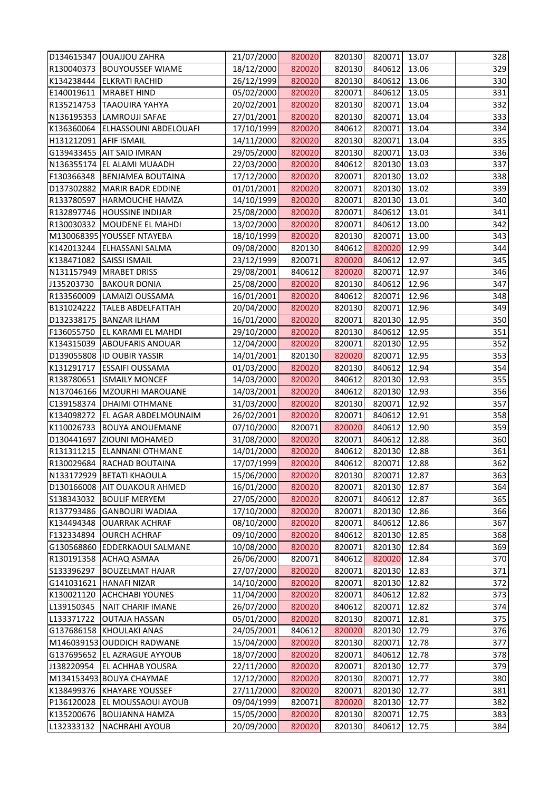|                        | D134615347 OUAJJOU ZAHRA         | 21/07/2000 | 820020 | 820130 | 820071 13.07 |       | 328 |
|------------------------|----------------------------------|------------|--------|--------|--------------|-------|-----|
|                        | R130040373 BOUYOUSSEF WIAME      | 18/12/2000 | 820020 | 820130 | 840612 13.06 |       | 329 |
|                        | K134238444 ELKRATI RACHID        | 26/12/1999 | 820020 | 820130 | 840612       | 13.06 | 330 |
| E140019611             | <b>MRABET HIND</b>               | 05/02/2000 | 820020 | 820071 | 840612 13.05 |       | 331 |
|                        | R135214753 TAAOUIRA YAHYA        | 20/02/2001 | 820020 | 820130 | 820071 13.04 |       | 332 |
|                        | N136195353 LAMROUJI SAFAE        | 27/01/2001 | 820020 | 820130 | 820071 13.04 |       | 333 |
|                        | K136360064 ELHASSOUNI ABDELOUAFI | 17/10/1999 | 820020 | 840612 | 820071 13.04 |       | 334 |
| H131212091 AFIF ISMAIL |                                  | 14/11/2000 | 820020 | 820130 | 820071 13.04 |       | 335 |
|                        | G139433455 AIT SAID IMRAN        | 29/05/2000 | 820020 | 820130 | 820071 13.03 |       | 336 |
|                        | N136355174 EL ALAMI MUAADH       | 22/03/2000 | 820020 | 840612 | 820130 13.03 |       | 337 |
|                        | F130366348 BENJAMEA BOUTAINA     | 17/12/2000 | 820020 | 820071 | 820130 13.02 |       | 338 |
|                        | D137302882 MARIR BADR EDDINE     | 01/01/2001 | 820020 | 820071 | 820130 13.02 |       | 339 |
| R133780597             | <b>HARMOUCHE HAMZA</b>           | 14/10/1999 | 820020 | 820071 | 820130 13.01 |       | 340 |
|                        | R132897746 HOUSSINE INDIJAR      | 25/08/2000 | 820020 | 820071 | 840612 13.01 |       | 341 |
|                        | R130030332 MOUDENE EL MAHDI      | 13/02/2000 | 820020 | 820071 | 840612 13.00 |       | 342 |
|                        | M130068395 YOUSSEF NTAYEBA       | 18/10/1999 | 820020 | 820130 | 820071 13.00 |       | 343 |
|                        | K142013244 ELHASSANI SALMA       | 09/08/2000 | 820130 | 840612 | 820020 12.99 |       | 344 |
| K138471082             | <b>SAISSI ISMAIL</b>             | 23/12/1999 | 820071 | 820020 | 840612 12.97 |       | 345 |
|                        | N131157949 MRABET DRISS          | 29/08/2001 | 840612 | 820020 | 820071 12.97 |       | 346 |
| J135203730             | <b>BAKOUR DONIA</b>              | 25/08/2000 | 820020 | 820130 | 840612       | 12.96 | 347 |
|                        | R133560009 LAMAIZI OUSSAMA       | 16/01/2001 | 820020 | 840612 | 820071 12.96 |       | 348 |
|                        | B131024222   TALEB ABDELFATTAH   | 20/04/2000 | 820020 | 820130 | 820071       | 12.96 | 349 |
|                        | D132338175 BANZAR ILHAM          | 16/01/2000 | 820020 | 820071 | 820130 12.95 |       | 350 |
|                        | F136055750 EL KARAMI EL MAHDI    | 29/10/2000 | 820020 | 820130 | 840612 12.95 |       | 351 |
|                        | K134315039 ABOUFARIS ANOUAR      | 12/04/2000 | 820020 | 820071 | 820130 12.95 |       | 352 |
|                        | D139055808 ID OUBIR YASSIR       | 14/01/2001 | 820130 | 820020 | 820071 12.95 |       | 353 |
| K131291717             | <b>ESSAIFI OUSSAMA</b>           | 01/03/2000 | 820020 | 820130 | 840612       | 12.94 | 354 |
| R138780651             | <b>ISMAILY MONCEF</b>            | 14/03/2000 | 820020 | 840612 | 820130 12.93 |       | 355 |
|                        | N137046166 MZOURHI MAROUANE      | 14/03/2001 | 820020 | 840612 | 820130 12.93 |       | 356 |
| C139158374             | <b>DHAIMI OTHMANE</b>            | 31/03/2000 | 820020 | 820130 | 820071 12.92 |       | 357 |
|                        | K134098272 EL AGAR ABDELMOUNAIM  | 26/02/2001 | 820020 | 820071 | 840612 12.91 |       | 358 |
|                        | K110026733 BOUYA ANOUEMANE       | 07/10/2000 | 820071 | 820020 | 840612 12.90 |       | 359 |
| D130441697             | <b>ZIOUNI MOHAMED</b>            | 31/08/2000 | 820020 | 820071 | 840612       | 12.88 | 360 |
|                        | R131311215 ELANNANI OTHMANE      | 14/01/2000 | 820020 | 840612 | 820130 12.88 |       | 361 |
| R130029684             | <b>RACHAD BOUTAINA</b>           | 17/07/1999 | 820020 | 840612 | 820071       | 12.88 | 362 |
| N133172929             | <b>BETATI KHAOULA</b>            | 15/06/2000 | 820020 | 820130 | 820071       | 12.87 | 363 |
| D130166008             | <b>AIT OUAKOUR AHMED</b>         | 16/01/2000 | 820020 | 820071 | 820130       | 12.87 | 364 |
| S138343032             | <b>BOULIF MERYEM</b>             | 27/05/2000 | 820020 | 820071 | 840612       | 12.87 | 365 |
| R137793486             | <b>GANBOURI WADIAA</b>           | 17/10/2000 | 820020 | 820071 | 820130       | 12.86 | 366 |
| K134494348             | <b>OUARRAK ACHRAF</b>            | 08/10/2000 | 820020 | 820071 | 840612       | 12.86 | 367 |
| F132334894             | <b>OURCH ACHRAF</b>              | 09/10/2000 | 820020 | 840612 | 820130       | 12.85 | 368 |
| G130568860             | <b>EDDERKAOUI SALMANE</b>        | 10/08/2000 | 820020 | 820071 | 820130       | 12.84 | 369 |
| R130191358             | <b>ACHAQ ASMAA</b>               | 26/06/2000 | 820071 | 840612 | 820020       | 12.84 | 370 |
| S133396297             | <b>BOUZELMAT HAJAR</b>           | 27/07/2000 | 820020 | 820071 | 820130       | 12.83 | 371 |
| G141031621             | <b>HANAFI NIZAR</b>              | 14/10/2000 | 820020 | 820071 | 820130       | 12.82 | 372 |
| K130021120             | <b>ACHCHABI YOUNES</b>           | 11/04/2000 | 820020 | 820071 | 840612       | 12.82 | 373 |
| L139150345             | <b>NAIT CHARIF IMANE</b>         | 26/07/2000 | 820020 | 840612 | 820071       | 12.82 | 374 |
| L133371722             | <b>OUTAJA HASSAN</b>             | 05/01/2000 | 820020 | 820130 | 820071       | 12.81 | 375 |
| G137686158             | <b>KHOULAKI ANAS</b>             | 24/05/2001 | 840612 | 820020 | 820130       | 12.79 | 376 |
|                        | M146039153 OUDDICH RADWANE       | 15/04/2000 | 820020 | 820130 | 820071       | 12.78 | 377 |
|                        | G137695652 EL AZRAGUE AYYOUB     | 18/07/2000 | 820020 | 820071 | 840612       | 12.78 | 378 |
| J138220954             | <b>EL ACHHAB YOUSRA</b>          | 22/11/2000 | 820020 | 820071 | 820130       | 12.77 | 379 |
|                        | M134153493 BOUYA CHAYMAE         | 12/12/2000 | 820020 | 820130 | 820071       | 12.77 | 380 |
| K138499376             | <b>KHAYARE YOUSSEF</b>           | 27/11/2000 | 820020 | 820071 | 820130 12.77 |       | 381 |
| P136120028             | EL MOUSSAOUI AYOUB               | 09/04/1999 | 820071 | 820020 | 820130       | 12.77 | 382 |
| K135200676             | <b>BOUJANNA HAMZA</b>            | 15/05/2000 | 820020 | 820130 | 820071       | 12.75 | 383 |
| L132333132             | <b>NACHRAHI AYOUB</b>            | 20/09/2000 | 820020 | 820130 | 840612       | 12.75 | 384 |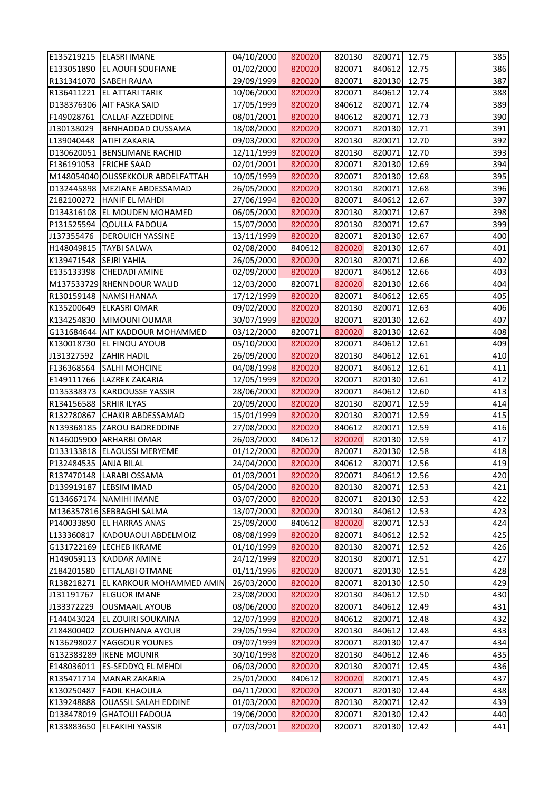|                        | E135219215   ELASRI IMANE         | 04/10/2000 | 820020 | 820130 | 820071 12.75 |       | 385 |
|------------------------|-----------------------------------|------------|--------|--------|--------------|-------|-----|
|                        | E133051890 EL AOUFI SOUFIANE      | 01/02/2000 | 820020 | 820071 | 840612 12.75 |       | 386 |
| R131341070             | <b>SABEH RAJAA</b>                | 29/09/1999 | 820020 | 820071 | 820130 12.75 |       | 387 |
| R136411221             | <b>EL ATTARI TARIK</b>            | 10/06/2000 | 820020 | 820071 | 840612       | 12.74 | 388 |
|                        | D138376306 AIT FASKA SAID         | 17/05/1999 | 820020 | 840612 | 820071 12.74 |       | 389 |
| F149028761             | <b>CALLAF AZZEDDINE</b>           | 08/01/2001 | 820020 | 840612 | 820071 12.73 |       | 390 |
| J130138029             | <b>BENHADDAD OUSSAMA</b>          | 18/08/2000 | 820020 | 820071 | 820130 12.71 |       | 391 |
| L139040448             | <b>ATIFI ZAKARIA</b>              | 09/03/2000 | 820020 | 820130 | 820071       | 12.70 | 392 |
|                        | D130620051 BENSLIMANE RACHID      | 12/11/1999 | 820020 | 820130 | 820071 12.70 |       | 393 |
| F136191053 FRICHE SAAD |                                   | 02/01/2001 | 820020 | 820071 | 820130 12.69 |       | 394 |
|                        | M148054040 OUSSEKKOUR ABDELFATTAH | 10/05/1999 | 820020 | 820071 | 820130 12.68 |       | 395 |
|                        | D132445898   MEZIANE ABDESSAMAD   | 26/05/2000 | 820020 | 820130 | 820071 12.68 |       | 396 |
| Z182100272             | <b>HANIF EL MAHDI</b>             | 27/06/1994 | 820020 | 820071 | 840612       | 12.67 | 397 |
|                        | D134316108 EL MOUDEN MOHAMED      | 06/05/2000 | 820020 | 820130 | 820071 12.67 |       | 398 |
|                        | P131525594 QOULLA FADOUA          | 15/07/2000 | 820020 | 820130 | 820071 12.67 |       | 399 |
| J137355476             | <b>DEROUICH YASSINE</b>           | 13/11/1999 | 820020 | 820071 | 820130 12.67 |       | 400 |
| H148049815 TAYBI SALWA |                                   | 02/08/2000 | 840612 | 820020 | 820130 12.67 |       | 401 |
| K139471548 SEJRI YAHIA |                                   | 26/05/2000 | 820020 | 820130 | 820071       | 12.66 | 402 |
|                        | E135133398 CHEDADI AMINE          | 02/09/2000 | 820020 | 820071 | 840612 12.66 |       | 403 |
|                        | M137533729 RHENNDOUR WALID        | 12/03/2000 | 820071 | 820020 | 820130 12.66 |       | 404 |
|                        | R130159148 NAMSI HANAA            | 17/12/1999 | 820020 | 820071 | 840612 12.65 |       | 405 |
| K135200649             | <b>ELKASRI OMAR</b>               | 09/02/2000 | 820020 | 820130 | 820071 12.63 |       | 406 |
| K134254830             | MIMOUNI OUMAR                     | 30/07/1999 | 820020 | 820071 | 820130       | 12.62 | 407 |
|                        | G131684644 AIT KADDOUR MOHAMMED   | 03/12/2000 | 820071 | 820020 | 820130 12.62 |       | 408 |
| K130018730             | <b>EL FINOU AYOUB</b>             | 05/10/2000 | 820020 | 820071 | 840612       | 12.61 | 409 |
| J131327592             | <b>ZAHIR HADIL</b>                | 26/09/2000 | 820020 | 820130 | 840612       | 12.61 | 410 |
| F136368564             | <b>SALHI MOHCINE</b>              | 04/08/1998 | 820020 | 820071 | 840612       | 12.61 | 411 |
| E149111766             | <b>LAZREK ZAKARIA</b>             | 12/05/1999 | 820020 | 820071 | 820130       | 12.61 | 412 |
|                        | D135338373 KARDOUSSE YASSIR       | 28/06/2000 | 820020 | 820071 | 840612 12.60 |       | 413 |
| R134156588             | <b>SRHIR ILYAS</b>                | 20/09/2000 | 820020 | 820130 | 820071       | 12.59 | 414 |
|                        | R132780867 CHAKIR ABDESSAMAD      | 15/01/1999 | 820020 | 820130 | 820071 12.59 |       | 415 |
|                        | N139368185 ZAROU BADREDDINE       | 27/08/2000 | 820020 | 840612 | 820071 12.59 |       | 416 |
|                        | N146005900 ARHARBI OMAR           | 26/03/2000 | 840612 | 820020 | 820130 12.59 |       | 417 |
|                        | D133133818 ELAOUSSI MERYEME       | 01/12/2000 | 820020 | 820071 | 820130 12.58 |       | 418 |
| P132484535             | <b>ANJA BILAL</b>                 | 24/04/2000 | 820020 | 840612 | 820071       | 12.56 | 419 |
|                        | R137470148 LARABI OSSAMA          | 01/03/2001 | 820020 | 820071 | 840612       | 12.56 | 420 |
| D139919187             | <b>LEBSIM IMAD</b>                | 05/04/2000 | 820020 | 820130 | 820071       | 12.53 | 421 |
|                        | G134667174   NAMIHI IMANE         | 03/07/2000 | 820020 | 820071 | 820130       | 12.53 | 422 |
|                        | M136357816 SEBBAGHI SALMA         | 13/07/2000 | 820020 | 820130 | 840612       | 12.53 | 423 |
| P140033890             | <b>EL HARRAS ANAS</b>             | 25/09/2000 | 840612 | 820020 | 820071       | 12.53 | 424 |
| L133360817             | KADOUAOUI ABDELMOIZ               | 08/08/1999 | 820020 | 820071 | 840612       | 12.52 | 425 |
| G131722169             | <b>LECHEB IKRAME</b>              | 01/10/1999 | 820020 | 820130 | 820071       | 12.52 | 426 |
| H149059113             | <b>KADDAR AMINE</b>               | 24/12/1999 | 820020 | 820130 | 820071       | 12.51 | 427 |
| Z184201580             | <b>ETTALABI OTMANE</b>            | 01/11/1996 | 820020 | 820071 | 820130       | 12.51 | 428 |
| R138218271             | EL KARKOUR MOHAMMED AMIN          | 26/03/2000 | 820020 | 820071 | 820130       | 12.50 | 429 |
| J131191767             | <b>ELGUOR IMANE</b>               | 23/08/2000 | 820020 | 820130 | 840612       | 12.50 | 430 |
| J133372229             | <b>OUSMAAIL AYOUB</b>             | 08/06/2000 | 820020 | 820071 | 840612       | 12.49 | 431 |
| F144043024             | EL ZOUIRI SOUKAINA                | 12/07/1999 | 820020 | 840612 | 820071       | 12.48 | 432 |
| Z184800402             | <b>ZOUGHNANA AYOUB</b>            | 29/05/1994 | 820020 | 820130 | 840612       | 12.48 | 433 |
| N136298027             | YAGGOUR YOUNES                    | 09/07/1999 | 820020 | 820071 | 820130       | 12.47 | 434 |
| G132383289             | <b>IKENE MOUNIR</b>               | 30/10/1998 | 820020 | 820130 | 840612       | 12.46 | 435 |
| E148036011             | <b>ES-SEDDYQ EL MEHDI</b>         | 06/03/2000 | 820020 | 820130 | 820071       | 12.45 | 436 |
| R135471714             | <b>MANAR ZAKARIA</b>              | 25/01/2000 | 840612 | 820020 | 820071       | 12.45 | 437 |
| K130250487             | <b>FADIL KHAOULA</b>              | 04/11/2000 | 820020 | 820071 | 820130       | 12.44 | 438 |
| K139248888             | <b>OUASSIL SALAH EDDINE</b>       | 01/03/2000 | 820020 | 820130 | 820071       | 12.42 | 439 |
| D138478019             | <b>GHATOUI FADOUA</b>             | 19/06/2000 | 820020 | 820071 | 820130       | 12.42 | 440 |
| R133883650             | <b>ELFAKIHI YASSIR</b>            | 07/03/2001 | 820020 | 820071 | 820130       | 12.42 | 441 |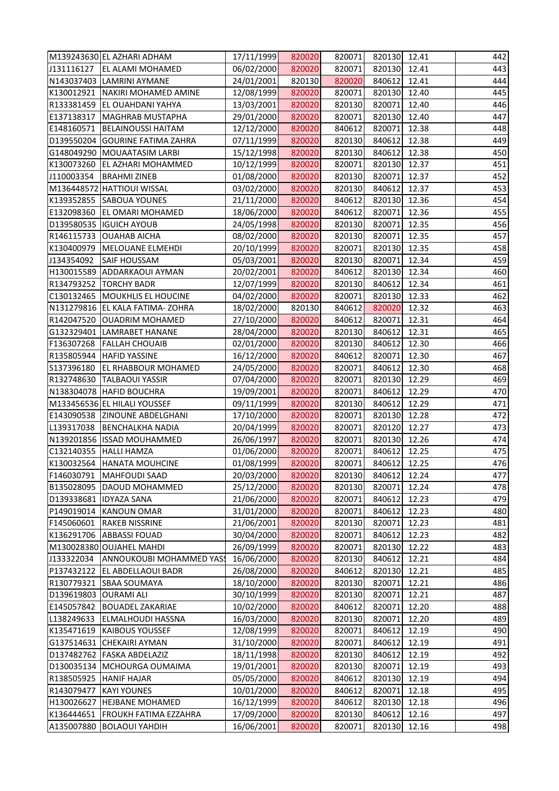| <b>EL ALAMI MOHAMED</b><br>06/02/2000<br>820020<br>820071<br>820130 12.41<br>443<br>24/01/2001<br>820020<br>840612<br>N143037403 LAMRINI AYMANE<br>820130<br>12.41<br>820020<br>820071<br>NAKIRI MOHAMED AMINE<br>12/08/1999<br>820130<br>12.40<br>R133381459 EL OUAHDANI YAHYA<br>13/03/2001<br>820020<br>820130<br>820071<br>12.40<br>820020<br>820071<br>820130 12.40<br>MAGHRAB MUSTAPHA<br>29/01/2000<br>840612<br><b>BELAINOUSSI HAITAM</b><br>12/12/2000<br>820020<br>820071<br>12.38<br>D139550204 GOURINE FATIMA ZAHRA<br>07/11/1999<br>820020<br>820130<br>840612<br>12.38<br>820130<br>G148049290 MOUAATASIM LARBI<br>15/12/1998<br>820020<br>840612<br>12.38<br>820020<br>820071<br>820130 12.37<br>K130073260 EL AZHARI MOHAMMED<br>10/12/1999<br><b>BRAHMI ZINEB</b><br>820020<br>820130<br>820071<br>01/08/2000<br>12.37<br>820020<br>820130<br>840612<br>12.37<br>M136448572 HATTIOUI WISSAL<br>03/02/2000<br>K139352855 SABOUA YOUNES<br>820020<br>840612<br>820130<br>21/11/2000<br>12.36<br>840612<br>E132098360 EL OMARI MOHAMED<br>18/06/2000<br>820020<br>820071<br>12.36<br>D139580535 IGUICH AYOUB<br>820020<br>820130<br>24/05/1998<br>820071<br>12.35<br>R146115733 OUAHAB AICHA<br>08/02/2000<br>820020<br>820130<br>820071<br>12.35<br>K130400979<br>820071<br>820130<br>12.35<br>MELOUANE ELMEHDI<br>20/10/1999<br>820020<br>820020<br>J134354092<br><b>SAIF HOUSSAM</b><br>05/03/2001<br>820130<br>820071<br>12.34<br>20/02/2001<br>820020<br>840612<br>820130 12.34<br>H130015589 ADDARKAOUI AYMAN<br>840612<br>R134793252   TORCHY BADR<br>12/07/1999<br>820020<br>820130<br>12.34<br>820020<br>820071<br>820130 12.33<br>C130132465   MOUKHLIS EL HOUCINE<br>04/02/2000<br>N131279816 EL KALA FATIMA-ZOHRA<br>840612<br>18/02/2000<br>820130<br>820020<br>12.32<br>820020<br>840612<br>R142047520<br>OUADRIM MOHAMED<br>27/10/2000<br>820071<br>12.31<br>G132329401 LAMRABET HANANE<br>28/04/2000<br>820020<br>820130<br>840612<br>12.31<br>F136307268<br><b>FALLAH CHOUAIB</b><br>02/01/2000<br>820020<br>820130<br>840612<br>12.30<br>820020<br>840612<br>R135805944 HAFID YASSINE<br>16/12/2000<br>820071<br>12.30<br>S137396180<br>840612<br><b>EL RHABBOUR MOHAMED</b><br>24/05/2000<br>820020<br>820071<br>12.30<br>R132748630<br><b>TALBAOUI YASSIR</b><br>820020<br>820071<br>820130<br>07/04/2000<br>12.29<br>19/09/2001<br>820020<br>820071<br>840612<br>N138304078 HAFID BOUCHRA<br>12.29<br>M133456536 EL HILALI YOUSSEF<br>09/11/1999<br>820020<br>820130<br>840612<br>12.29<br>E143090538 ZINOUNE ABDELGHANI<br>17/10/2000<br>820020<br>820071<br>820130 12.28<br>L139317038 BENCHALKHA NADIA<br>20/04/1999<br>820020<br>820071<br>820120 12.27<br>N139201856 ISSAD MOUHAMMED<br>820020<br>820071<br>26/06/1997<br>820130<br>12.26<br>01/06/2000<br>820020<br>12.25<br>C132140355   HALLI HAMZA<br>820071<br>840612<br>K130032564<br>01/08/1999<br>820020<br>820071<br>840612<br><b>HANATA MOUHCINE</b><br>12.25<br>20/03/2000<br>F146030791<br><b>MAHFOUDI SAAD</b><br>820020<br>820130<br>840612<br>12.24<br>25/12/2000<br>B135028095<br>DAOUD MOHAMMED<br>820020<br>820130<br>12.24<br>820071<br>D139338681<br>21/06/2000<br>820020<br>820071<br>840612<br><b>IDYAZA SANA</b><br>12.23<br>P149019014<br>31/01/2000<br>820020<br>12.23<br><b>KANOUN OMAR</b><br>820071<br>840612<br>F145060601<br><b>RAKEB NISSRINE</b><br>21/06/2001<br>820020<br>820130<br>820071<br>481<br>12.23<br>30/04/2000<br>K136291706<br><b>ABBASSI FOUAD</b><br>820020<br>820071<br>840612<br>12.23<br>M130028380 OUJAHEL MAHDI<br>26/09/1999<br>820020<br>12.22<br>820071<br>820130<br>820020<br>820130<br>J133322034<br>ANNOUKOUBI MOHAMMED YAS!<br>16/06/2000<br>840612<br>12.21<br>P137432122<br>EL ABDELLAOUI BADR<br>26/08/2000<br>820020<br>840612<br>820130<br>12.21<br>R130779321<br>18/10/2000<br>820020<br>820130<br>820071<br><b>SBAA SOUMAYA</b><br>12.21<br>30/10/1999<br>D139619803<br><b>OURAMI ALI</b><br>820020<br>820130<br>12.21<br>820071<br>E145057842<br>10/02/2000<br>820020<br>12.20<br><b>BOUADEL ZAKARIAE</b><br>840612<br>820071<br>L138249633<br>16/03/2000<br>820020<br>820130<br><b>ELMALHOUDI HASSNA</b><br>820071<br>12.20<br>K135471619<br><b>KAIBOUS YOUSSEF</b><br>12/08/1999<br>820020<br>820071<br>840612<br>12.19<br>G137514631<br><b>CHEKAIRI AYMAN</b><br>31/10/2000<br>820020<br>820071<br>840612<br>491<br>12.19<br>D137482762<br><b>FASKA ABDELAZIZ</b><br>18/11/1998<br>820020<br>820130<br>840612<br>12.19<br>D130035134<br>820020<br>MCHOURGA OUMAIMA<br>19/01/2001<br>820130<br>820071<br>12.19<br>R138505925<br>05/05/2000<br>840612<br><b>HANIF HAJAR</b><br>820020<br>820130<br>12.19<br>R143079477<br>10/01/2000<br>820020<br>840612<br><b>KAYI YOUNES</b><br>820071<br>12.18<br>H130026627<br>840612<br><b>HEJBANE MOHAMED</b><br>16/12/1999<br>820020<br>820130<br>12.18<br>K136444651<br>17/09/2000<br>820020<br>820130<br>840612<br>12.16<br><b>FROUKH FATIMA EZZAHRA</b><br>820020<br><b>BOLAOUI YAHDIH</b><br>16/06/2001<br>820071<br>820130<br>12.16 |            | M139243630 EL AZHARI ADHAM | 17/11/1999 | 820020 | 820071 | 820130 12.41 | 442 |
|---------------------------------------------------------------------------------------------------------------------------------------------------------------------------------------------------------------------------------------------------------------------------------------------------------------------------------------------------------------------------------------------------------------------------------------------------------------------------------------------------------------------------------------------------------------------------------------------------------------------------------------------------------------------------------------------------------------------------------------------------------------------------------------------------------------------------------------------------------------------------------------------------------------------------------------------------------------------------------------------------------------------------------------------------------------------------------------------------------------------------------------------------------------------------------------------------------------------------------------------------------------------------------------------------------------------------------------------------------------------------------------------------------------------------------------------------------------------------------------------------------------------------------------------------------------------------------------------------------------------------------------------------------------------------------------------------------------------------------------------------------------------------------------------------------------------------------------------------------------------------------------------------------------------------------------------------------------------------------------------------------------------------------------------------------------------------------------------------------------------------------------------------------------------------------------------------------------------------------------------------------------------------------------------------------------------------------------------------------------------------------------------------------------------------------------------------------------------------------------------------------------------------------------------------------------------------------------------------------------------------------------------------------------------------------------------------------------------------------------------------------------------------------------------------------------------------------------------------------------------------------------------------------------------------------------------------------------------------------------------------------------------------------------------------------------------------------------------------------------------------------------------------------------------------------------------------------------------------------------------------------------------------------------------------------------------------------------------------------------------------------------------------------------------------------------------------------------------------------------------------------------------------------------------------------------------------------------------------------------------------------------------------------------------------------------------------------------------------------------------------------------------------------------------------------------------------------------------------------------------------------------------------------------------------------------------------------------------------------------------------------------------------------------------------------------------------------------------------------------------------------------------------------------------------------------------------------------------------------------------------------------------------------------------------------------------------------------------------------------------------------------------------------------------------------------------------------------------------------------------------------------------------------------------------------------------------------------------------------------------------------------------------------------------------------------------------------------------------------------------------------------------------------------------------------------------------------------------------------------------------------------------------------------------------------------------------------------------------------------------------------------------------------------------|------------|----------------------------|------------|--------|--------|--------------|-----|
|                                                                                                                                                                                                                                                                                                                                                                                                                                                                                                                                                                                                                                                                                                                                                                                                                                                                                                                                                                                                                                                                                                                                                                                                                                                                                                                                                                                                                                                                                                                                                                                                                                                                                                                                                                                                                                                                                                                                                                                                                                                                                                                                                                                                                                                                                                                                                                                                                                                                                                                                                                                                                                                                                                                                                                                                                                                                                                                                                                                                                                                                                                                                                                                                                                                                                                                                                                                                                                                                                                                                                                                                                                                                                                                                                                                                                                                                                                                                                                                                                                                                                                                                                                                                                                                                                                                                                                                                                                                                                                                                                                                                                                                                                                                                                                                                                                                                                                                                                                                                                                             | J131116127 |                            |            |        |        |              |     |
| 451<br>462<br>475<br>485<br>487<br>489<br>490<br>492<br>493                                                                                                                                                                                                                                                                                                                                                                                                                                                                                                                                                                                                                                                                                                                                                                                                                                                                                                                                                                                                                                                                                                                                                                                                                                                                                                                                                                                                                                                                                                                                                                                                                                                                                                                                                                                                                                                                                                                                                                                                                                                                                                                                                                                                                                                                                                                                                                                                                                                                                                                                                                                                                                                                                                                                                                                                                                                                                                                                                                                                                                                                                                                                                                                                                                                                                                                                                                                                                                                                                                                                                                                                                                                                                                                                                                                                                                                                                                                                                                                                                                                                                                                                                                                                                                                                                                                                                                                                                                                                                                                                                                                                                                                                                                                                                                                                                                                                                                                                                                                 |            |                            |            |        |        |              | 444 |
| 446<br>447                                                                                                                                                                                                                                                                                                                                                                                                                                                                                                                                                                                                                                                                                                                                                                                                                                                                                                                                                                                                                                                                                                                                                                                                                                                                                                                                                                                                                                                                                                                                                                                                                                                                                                                                                                                                                                                                                                                                                                                                                                                                                                                                                                                                                                                                                                                                                                                                                                                                                                                                                                                                                                                                                                                                                                                                                                                                                                                                                                                                                                                                                                                                                                                                                                                                                                                                                                                                                                                                                                                                                                                                                                                                                                                                                                                                                                                                                                                                                                                                                                                                                                                                                                                                                                                                                                                                                                                                                                                                                                                                                                                                                                                                                                                                                                                                                                                                                                                                                                                                                                  | K130012921 |                            |            |        |        |              | 445 |
|                                                                                                                                                                                                                                                                                                                                                                                                                                                                                                                                                                                                                                                                                                                                                                                                                                                                                                                                                                                                                                                                                                                                                                                                                                                                                                                                                                                                                                                                                                                                                                                                                                                                                                                                                                                                                                                                                                                                                                                                                                                                                                                                                                                                                                                                                                                                                                                                                                                                                                                                                                                                                                                                                                                                                                                                                                                                                                                                                                                                                                                                                                                                                                                                                                                                                                                                                                                                                                                                                                                                                                                                                                                                                                                                                                                                                                                                                                                                                                                                                                                                                                                                                                                                                                                                                                                                                                                                                                                                                                                                                                                                                                                                                                                                                                                                                                                                                                                                                                                                                                             |            |                            |            |        |        |              |     |
| 448<br>449<br>450<br>452                                                                                                                                                                                                                                                                                                                                                                                                                                                                                                                                                                                                                                                                                                                                                                                                                                                                                                                                                                                                                                                                                                                                                                                                                                                                                                                                                                                                                                                                                                                                                                                                                                                                                                                                                                                                                                                                                                                                                                                                                                                                                                                                                                                                                                                                                                                                                                                                                                                                                                                                                                                                                                                                                                                                                                                                                                                                                                                                                                                                                                                                                                                                                                                                                                                                                                                                                                                                                                                                                                                                                                                                                                                                                                                                                                                                                                                                                                                                                                                                                                                                                                                                                                                                                                                                                                                                                                                                                                                                                                                                                                                                                                                                                                                                                                                                                                                                                                                                                                                                                    | E137138317 |                            |            |        |        |              |     |
|                                                                                                                                                                                                                                                                                                                                                                                                                                                                                                                                                                                                                                                                                                                                                                                                                                                                                                                                                                                                                                                                                                                                                                                                                                                                                                                                                                                                                                                                                                                                                                                                                                                                                                                                                                                                                                                                                                                                                                                                                                                                                                                                                                                                                                                                                                                                                                                                                                                                                                                                                                                                                                                                                                                                                                                                                                                                                                                                                                                                                                                                                                                                                                                                                                                                                                                                                                                                                                                                                                                                                                                                                                                                                                                                                                                                                                                                                                                                                                                                                                                                                                                                                                                                                                                                                                                                                                                                                                                                                                                                                                                                                                                                                                                                                                                                                                                                                                                                                                                                                                             | E148160571 |                            |            |        |        |              |     |
|                                                                                                                                                                                                                                                                                                                                                                                                                                                                                                                                                                                                                                                                                                                                                                                                                                                                                                                                                                                                                                                                                                                                                                                                                                                                                                                                                                                                                                                                                                                                                                                                                                                                                                                                                                                                                                                                                                                                                                                                                                                                                                                                                                                                                                                                                                                                                                                                                                                                                                                                                                                                                                                                                                                                                                                                                                                                                                                                                                                                                                                                                                                                                                                                                                                                                                                                                                                                                                                                                                                                                                                                                                                                                                                                                                                                                                                                                                                                                                                                                                                                                                                                                                                                                                                                                                                                                                                                                                                                                                                                                                                                                                                                                                                                                                                                                                                                                                                                                                                                                                             |            |                            |            |        |        |              |     |
|                                                                                                                                                                                                                                                                                                                                                                                                                                                                                                                                                                                                                                                                                                                                                                                                                                                                                                                                                                                                                                                                                                                                                                                                                                                                                                                                                                                                                                                                                                                                                                                                                                                                                                                                                                                                                                                                                                                                                                                                                                                                                                                                                                                                                                                                                                                                                                                                                                                                                                                                                                                                                                                                                                                                                                                                                                                                                                                                                                                                                                                                                                                                                                                                                                                                                                                                                                                                                                                                                                                                                                                                                                                                                                                                                                                                                                                                                                                                                                                                                                                                                                                                                                                                                                                                                                                                                                                                                                                                                                                                                                                                                                                                                                                                                                                                                                                                                                                                                                                                                                             |            |                            |            |        |        |              |     |
|                                                                                                                                                                                                                                                                                                                                                                                                                                                                                                                                                                                                                                                                                                                                                                                                                                                                                                                                                                                                                                                                                                                                                                                                                                                                                                                                                                                                                                                                                                                                                                                                                                                                                                                                                                                                                                                                                                                                                                                                                                                                                                                                                                                                                                                                                                                                                                                                                                                                                                                                                                                                                                                                                                                                                                                                                                                                                                                                                                                                                                                                                                                                                                                                                                                                                                                                                                                                                                                                                                                                                                                                                                                                                                                                                                                                                                                                                                                                                                                                                                                                                                                                                                                                                                                                                                                                                                                                                                                                                                                                                                                                                                                                                                                                                                                                                                                                                                                                                                                                                                             |            |                            |            |        |        |              |     |
| 453<br>454<br>455<br>456<br>457<br>458<br>459<br>460<br>461<br>463<br>464<br>465<br>466<br>467<br>468<br>469<br>470<br>471<br>472<br>473<br>474<br>476<br>477<br>478<br>479<br>480<br>482<br>483<br>484<br>486<br>488<br>494<br>495<br>496<br>497<br>498                                                                                                                                                                                                                                                                                                                                                                                                                                                                                                                                                                                                                                                                                                                                                                                                                                                                                                                                                                                                                                                                                                                                                                                                                                                                                                                                                                                                                                                                                                                                                                                                                                                                                                                                                                                                                                                                                                                                                                                                                                                                                                                                                                                                                                                                                                                                                                                                                                                                                                                                                                                                                                                                                                                                                                                                                                                                                                                                                                                                                                                                                                                                                                                                                                                                                                                                                                                                                                                                                                                                                                                                                                                                                                                                                                                                                                                                                                                                                                                                                                                                                                                                                                                                                                                                                                                                                                                                                                                                                                                                                                                                                                                                                                                                                                                    | J110003354 |                            |            |        |        |              |     |
|                                                                                                                                                                                                                                                                                                                                                                                                                                                                                                                                                                                                                                                                                                                                                                                                                                                                                                                                                                                                                                                                                                                                                                                                                                                                                                                                                                                                                                                                                                                                                                                                                                                                                                                                                                                                                                                                                                                                                                                                                                                                                                                                                                                                                                                                                                                                                                                                                                                                                                                                                                                                                                                                                                                                                                                                                                                                                                                                                                                                                                                                                                                                                                                                                                                                                                                                                                                                                                                                                                                                                                                                                                                                                                                                                                                                                                                                                                                                                                                                                                                                                                                                                                                                                                                                                                                                                                                                                                                                                                                                                                                                                                                                                                                                                                                                                                                                                                                                                                                                                                             |            |                            |            |        |        |              |     |
|                                                                                                                                                                                                                                                                                                                                                                                                                                                                                                                                                                                                                                                                                                                                                                                                                                                                                                                                                                                                                                                                                                                                                                                                                                                                                                                                                                                                                                                                                                                                                                                                                                                                                                                                                                                                                                                                                                                                                                                                                                                                                                                                                                                                                                                                                                                                                                                                                                                                                                                                                                                                                                                                                                                                                                                                                                                                                                                                                                                                                                                                                                                                                                                                                                                                                                                                                                                                                                                                                                                                                                                                                                                                                                                                                                                                                                                                                                                                                                                                                                                                                                                                                                                                                                                                                                                                                                                                                                                                                                                                                                                                                                                                                                                                                                                                                                                                                                                                                                                                                                             |            |                            |            |        |        |              |     |
|                                                                                                                                                                                                                                                                                                                                                                                                                                                                                                                                                                                                                                                                                                                                                                                                                                                                                                                                                                                                                                                                                                                                                                                                                                                                                                                                                                                                                                                                                                                                                                                                                                                                                                                                                                                                                                                                                                                                                                                                                                                                                                                                                                                                                                                                                                                                                                                                                                                                                                                                                                                                                                                                                                                                                                                                                                                                                                                                                                                                                                                                                                                                                                                                                                                                                                                                                                                                                                                                                                                                                                                                                                                                                                                                                                                                                                                                                                                                                                                                                                                                                                                                                                                                                                                                                                                                                                                                                                                                                                                                                                                                                                                                                                                                                                                                                                                                                                                                                                                                                                             |            |                            |            |        |        |              |     |
|                                                                                                                                                                                                                                                                                                                                                                                                                                                                                                                                                                                                                                                                                                                                                                                                                                                                                                                                                                                                                                                                                                                                                                                                                                                                                                                                                                                                                                                                                                                                                                                                                                                                                                                                                                                                                                                                                                                                                                                                                                                                                                                                                                                                                                                                                                                                                                                                                                                                                                                                                                                                                                                                                                                                                                                                                                                                                                                                                                                                                                                                                                                                                                                                                                                                                                                                                                                                                                                                                                                                                                                                                                                                                                                                                                                                                                                                                                                                                                                                                                                                                                                                                                                                                                                                                                                                                                                                                                                                                                                                                                                                                                                                                                                                                                                                                                                                                                                                                                                                                                             |            |                            |            |        |        |              |     |
|                                                                                                                                                                                                                                                                                                                                                                                                                                                                                                                                                                                                                                                                                                                                                                                                                                                                                                                                                                                                                                                                                                                                                                                                                                                                                                                                                                                                                                                                                                                                                                                                                                                                                                                                                                                                                                                                                                                                                                                                                                                                                                                                                                                                                                                                                                                                                                                                                                                                                                                                                                                                                                                                                                                                                                                                                                                                                                                                                                                                                                                                                                                                                                                                                                                                                                                                                                                                                                                                                                                                                                                                                                                                                                                                                                                                                                                                                                                                                                                                                                                                                                                                                                                                                                                                                                                                                                                                                                                                                                                                                                                                                                                                                                                                                                                                                                                                                                                                                                                                                                             |            |                            |            |        |        |              |     |
|                                                                                                                                                                                                                                                                                                                                                                                                                                                                                                                                                                                                                                                                                                                                                                                                                                                                                                                                                                                                                                                                                                                                                                                                                                                                                                                                                                                                                                                                                                                                                                                                                                                                                                                                                                                                                                                                                                                                                                                                                                                                                                                                                                                                                                                                                                                                                                                                                                                                                                                                                                                                                                                                                                                                                                                                                                                                                                                                                                                                                                                                                                                                                                                                                                                                                                                                                                                                                                                                                                                                                                                                                                                                                                                                                                                                                                                                                                                                                                                                                                                                                                                                                                                                                                                                                                                                                                                                                                                                                                                                                                                                                                                                                                                                                                                                                                                                                                                                                                                                                                             |            |                            |            |        |        |              |     |
|                                                                                                                                                                                                                                                                                                                                                                                                                                                                                                                                                                                                                                                                                                                                                                                                                                                                                                                                                                                                                                                                                                                                                                                                                                                                                                                                                                                                                                                                                                                                                                                                                                                                                                                                                                                                                                                                                                                                                                                                                                                                                                                                                                                                                                                                                                                                                                                                                                                                                                                                                                                                                                                                                                                                                                                                                                                                                                                                                                                                                                                                                                                                                                                                                                                                                                                                                                                                                                                                                                                                                                                                                                                                                                                                                                                                                                                                                                                                                                                                                                                                                                                                                                                                                                                                                                                                                                                                                                                                                                                                                                                                                                                                                                                                                                                                                                                                                                                                                                                                                                             |            |                            |            |        |        |              |     |
|                                                                                                                                                                                                                                                                                                                                                                                                                                                                                                                                                                                                                                                                                                                                                                                                                                                                                                                                                                                                                                                                                                                                                                                                                                                                                                                                                                                                                                                                                                                                                                                                                                                                                                                                                                                                                                                                                                                                                                                                                                                                                                                                                                                                                                                                                                                                                                                                                                                                                                                                                                                                                                                                                                                                                                                                                                                                                                                                                                                                                                                                                                                                                                                                                                                                                                                                                                                                                                                                                                                                                                                                                                                                                                                                                                                                                                                                                                                                                                                                                                                                                                                                                                                                                                                                                                                                                                                                                                                                                                                                                                                                                                                                                                                                                                                                                                                                                                                                                                                                                                             |            |                            |            |        |        |              |     |
|                                                                                                                                                                                                                                                                                                                                                                                                                                                                                                                                                                                                                                                                                                                                                                                                                                                                                                                                                                                                                                                                                                                                                                                                                                                                                                                                                                                                                                                                                                                                                                                                                                                                                                                                                                                                                                                                                                                                                                                                                                                                                                                                                                                                                                                                                                                                                                                                                                                                                                                                                                                                                                                                                                                                                                                                                                                                                                                                                                                                                                                                                                                                                                                                                                                                                                                                                                                                                                                                                                                                                                                                                                                                                                                                                                                                                                                                                                                                                                                                                                                                                                                                                                                                                                                                                                                                                                                                                                                                                                                                                                                                                                                                                                                                                                                                                                                                                                                                                                                                                                             |            |                            |            |        |        |              |     |
|                                                                                                                                                                                                                                                                                                                                                                                                                                                                                                                                                                                                                                                                                                                                                                                                                                                                                                                                                                                                                                                                                                                                                                                                                                                                                                                                                                                                                                                                                                                                                                                                                                                                                                                                                                                                                                                                                                                                                                                                                                                                                                                                                                                                                                                                                                                                                                                                                                                                                                                                                                                                                                                                                                                                                                                                                                                                                                                                                                                                                                                                                                                                                                                                                                                                                                                                                                                                                                                                                                                                                                                                                                                                                                                                                                                                                                                                                                                                                                                                                                                                                                                                                                                                                                                                                                                                                                                                                                                                                                                                                                                                                                                                                                                                                                                                                                                                                                                                                                                                                                             |            |                            |            |        |        |              |     |
|                                                                                                                                                                                                                                                                                                                                                                                                                                                                                                                                                                                                                                                                                                                                                                                                                                                                                                                                                                                                                                                                                                                                                                                                                                                                                                                                                                                                                                                                                                                                                                                                                                                                                                                                                                                                                                                                                                                                                                                                                                                                                                                                                                                                                                                                                                                                                                                                                                                                                                                                                                                                                                                                                                                                                                                                                                                                                                                                                                                                                                                                                                                                                                                                                                                                                                                                                                                                                                                                                                                                                                                                                                                                                                                                                                                                                                                                                                                                                                                                                                                                                                                                                                                                                                                                                                                                                                                                                                                                                                                                                                                                                                                                                                                                                                                                                                                                                                                                                                                                                                             |            |                            |            |        |        |              |     |
|                                                                                                                                                                                                                                                                                                                                                                                                                                                                                                                                                                                                                                                                                                                                                                                                                                                                                                                                                                                                                                                                                                                                                                                                                                                                                                                                                                                                                                                                                                                                                                                                                                                                                                                                                                                                                                                                                                                                                                                                                                                                                                                                                                                                                                                                                                                                                                                                                                                                                                                                                                                                                                                                                                                                                                                                                                                                                                                                                                                                                                                                                                                                                                                                                                                                                                                                                                                                                                                                                                                                                                                                                                                                                                                                                                                                                                                                                                                                                                                                                                                                                                                                                                                                                                                                                                                                                                                                                                                                                                                                                                                                                                                                                                                                                                                                                                                                                                                                                                                                                                             |            |                            |            |        |        |              |     |
|                                                                                                                                                                                                                                                                                                                                                                                                                                                                                                                                                                                                                                                                                                                                                                                                                                                                                                                                                                                                                                                                                                                                                                                                                                                                                                                                                                                                                                                                                                                                                                                                                                                                                                                                                                                                                                                                                                                                                                                                                                                                                                                                                                                                                                                                                                                                                                                                                                                                                                                                                                                                                                                                                                                                                                                                                                                                                                                                                                                                                                                                                                                                                                                                                                                                                                                                                                                                                                                                                                                                                                                                                                                                                                                                                                                                                                                                                                                                                                                                                                                                                                                                                                                                                                                                                                                                                                                                                                                                                                                                                                                                                                                                                                                                                                                                                                                                                                                                                                                                                                             |            |                            |            |        |        |              |     |
|                                                                                                                                                                                                                                                                                                                                                                                                                                                                                                                                                                                                                                                                                                                                                                                                                                                                                                                                                                                                                                                                                                                                                                                                                                                                                                                                                                                                                                                                                                                                                                                                                                                                                                                                                                                                                                                                                                                                                                                                                                                                                                                                                                                                                                                                                                                                                                                                                                                                                                                                                                                                                                                                                                                                                                                                                                                                                                                                                                                                                                                                                                                                                                                                                                                                                                                                                                                                                                                                                                                                                                                                                                                                                                                                                                                                                                                                                                                                                                                                                                                                                                                                                                                                                                                                                                                                                                                                                                                                                                                                                                                                                                                                                                                                                                                                                                                                                                                                                                                                                                             |            |                            |            |        |        |              |     |
|                                                                                                                                                                                                                                                                                                                                                                                                                                                                                                                                                                                                                                                                                                                                                                                                                                                                                                                                                                                                                                                                                                                                                                                                                                                                                                                                                                                                                                                                                                                                                                                                                                                                                                                                                                                                                                                                                                                                                                                                                                                                                                                                                                                                                                                                                                                                                                                                                                                                                                                                                                                                                                                                                                                                                                                                                                                                                                                                                                                                                                                                                                                                                                                                                                                                                                                                                                                                                                                                                                                                                                                                                                                                                                                                                                                                                                                                                                                                                                                                                                                                                                                                                                                                                                                                                                                                                                                                                                                                                                                                                                                                                                                                                                                                                                                                                                                                                                                                                                                                                                             |            |                            |            |        |        |              |     |
|                                                                                                                                                                                                                                                                                                                                                                                                                                                                                                                                                                                                                                                                                                                                                                                                                                                                                                                                                                                                                                                                                                                                                                                                                                                                                                                                                                                                                                                                                                                                                                                                                                                                                                                                                                                                                                                                                                                                                                                                                                                                                                                                                                                                                                                                                                                                                                                                                                                                                                                                                                                                                                                                                                                                                                                                                                                                                                                                                                                                                                                                                                                                                                                                                                                                                                                                                                                                                                                                                                                                                                                                                                                                                                                                                                                                                                                                                                                                                                                                                                                                                                                                                                                                                                                                                                                                                                                                                                                                                                                                                                                                                                                                                                                                                                                                                                                                                                                                                                                                                                             |            |                            |            |        |        |              |     |
|                                                                                                                                                                                                                                                                                                                                                                                                                                                                                                                                                                                                                                                                                                                                                                                                                                                                                                                                                                                                                                                                                                                                                                                                                                                                                                                                                                                                                                                                                                                                                                                                                                                                                                                                                                                                                                                                                                                                                                                                                                                                                                                                                                                                                                                                                                                                                                                                                                                                                                                                                                                                                                                                                                                                                                                                                                                                                                                                                                                                                                                                                                                                                                                                                                                                                                                                                                                                                                                                                                                                                                                                                                                                                                                                                                                                                                                                                                                                                                                                                                                                                                                                                                                                                                                                                                                                                                                                                                                                                                                                                                                                                                                                                                                                                                                                                                                                                                                                                                                                                                             |            |                            |            |        |        |              |     |
|                                                                                                                                                                                                                                                                                                                                                                                                                                                                                                                                                                                                                                                                                                                                                                                                                                                                                                                                                                                                                                                                                                                                                                                                                                                                                                                                                                                                                                                                                                                                                                                                                                                                                                                                                                                                                                                                                                                                                                                                                                                                                                                                                                                                                                                                                                                                                                                                                                                                                                                                                                                                                                                                                                                                                                                                                                                                                                                                                                                                                                                                                                                                                                                                                                                                                                                                                                                                                                                                                                                                                                                                                                                                                                                                                                                                                                                                                                                                                                                                                                                                                                                                                                                                                                                                                                                                                                                                                                                                                                                                                                                                                                                                                                                                                                                                                                                                                                                                                                                                                                             |            |                            |            |        |        |              |     |
|                                                                                                                                                                                                                                                                                                                                                                                                                                                                                                                                                                                                                                                                                                                                                                                                                                                                                                                                                                                                                                                                                                                                                                                                                                                                                                                                                                                                                                                                                                                                                                                                                                                                                                                                                                                                                                                                                                                                                                                                                                                                                                                                                                                                                                                                                                                                                                                                                                                                                                                                                                                                                                                                                                                                                                                                                                                                                                                                                                                                                                                                                                                                                                                                                                                                                                                                                                                                                                                                                                                                                                                                                                                                                                                                                                                                                                                                                                                                                                                                                                                                                                                                                                                                                                                                                                                                                                                                                                                                                                                                                                                                                                                                                                                                                                                                                                                                                                                                                                                                                                             |            |                            |            |        |        |              |     |
|                                                                                                                                                                                                                                                                                                                                                                                                                                                                                                                                                                                                                                                                                                                                                                                                                                                                                                                                                                                                                                                                                                                                                                                                                                                                                                                                                                                                                                                                                                                                                                                                                                                                                                                                                                                                                                                                                                                                                                                                                                                                                                                                                                                                                                                                                                                                                                                                                                                                                                                                                                                                                                                                                                                                                                                                                                                                                                                                                                                                                                                                                                                                                                                                                                                                                                                                                                                                                                                                                                                                                                                                                                                                                                                                                                                                                                                                                                                                                                                                                                                                                                                                                                                                                                                                                                                                                                                                                                                                                                                                                                                                                                                                                                                                                                                                                                                                                                                                                                                                                                             |            |                            |            |        |        |              |     |
|                                                                                                                                                                                                                                                                                                                                                                                                                                                                                                                                                                                                                                                                                                                                                                                                                                                                                                                                                                                                                                                                                                                                                                                                                                                                                                                                                                                                                                                                                                                                                                                                                                                                                                                                                                                                                                                                                                                                                                                                                                                                                                                                                                                                                                                                                                                                                                                                                                                                                                                                                                                                                                                                                                                                                                                                                                                                                                                                                                                                                                                                                                                                                                                                                                                                                                                                                                                                                                                                                                                                                                                                                                                                                                                                                                                                                                                                                                                                                                                                                                                                                                                                                                                                                                                                                                                                                                                                                                                                                                                                                                                                                                                                                                                                                                                                                                                                                                                                                                                                                                             |            |                            |            |        |        |              |     |
|                                                                                                                                                                                                                                                                                                                                                                                                                                                                                                                                                                                                                                                                                                                                                                                                                                                                                                                                                                                                                                                                                                                                                                                                                                                                                                                                                                                                                                                                                                                                                                                                                                                                                                                                                                                                                                                                                                                                                                                                                                                                                                                                                                                                                                                                                                                                                                                                                                                                                                                                                                                                                                                                                                                                                                                                                                                                                                                                                                                                                                                                                                                                                                                                                                                                                                                                                                                                                                                                                                                                                                                                                                                                                                                                                                                                                                                                                                                                                                                                                                                                                                                                                                                                                                                                                                                                                                                                                                                                                                                                                                                                                                                                                                                                                                                                                                                                                                                                                                                                                                             |            |                            |            |        |        |              |     |
|                                                                                                                                                                                                                                                                                                                                                                                                                                                                                                                                                                                                                                                                                                                                                                                                                                                                                                                                                                                                                                                                                                                                                                                                                                                                                                                                                                                                                                                                                                                                                                                                                                                                                                                                                                                                                                                                                                                                                                                                                                                                                                                                                                                                                                                                                                                                                                                                                                                                                                                                                                                                                                                                                                                                                                                                                                                                                                                                                                                                                                                                                                                                                                                                                                                                                                                                                                                                                                                                                                                                                                                                                                                                                                                                                                                                                                                                                                                                                                                                                                                                                                                                                                                                                                                                                                                                                                                                                                                                                                                                                                                                                                                                                                                                                                                                                                                                                                                                                                                                                                             |            |                            |            |        |        |              |     |
|                                                                                                                                                                                                                                                                                                                                                                                                                                                                                                                                                                                                                                                                                                                                                                                                                                                                                                                                                                                                                                                                                                                                                                                                                                                                                                                                                                                                                                                                                                                                                                                                                                                                                                                                                                                                                                                                                                                                                                                                                                                                                                                                                                                                                                                                                                                                                                                                                                                                                                                                                                                                                                                                                                                                                                                                                                                                                                                                                                                                                                                                                                                                                                                                                                                                                                                                                                                                                                                                                                                                                                                                                                                                                                                                                                                                                                                                                                                                                                                                                                                                                                                                                                                                                                                                                                                                                                                                                                                                                                                                                                                                                                                                                                                                                                                                                                                                                                                                                                                                                                             |            |                            |            |        |        |              |     |
|                                                                                                                                                                                                                                                                                                                                                                                                                                                                                                                                                                                                                                                                                                                                                                                                                                                                                                                                                                                                                                                                                                                                                                                                                                                                                                                                                                                                                                                                                                                                                                                                                                                                                                                                                                                                                                                                                                                                                                                                                                                                                                                                                                                                                                                                                                                                                                                                                                                                                                                                                                                                                                                                                                                                                                                                                                                                                                                                                                                                                                                                                                                                                                                                                                                                                                                                                                                                                                                                                                                                                                                                                                                                                                                                                                                                                                                                                                                                                                                                                                                                                                                                                                                                                                                                                                                                                                                                                                                                                                                                                                                                                                                                                                                                                                                                                                                                                                                                                                                                                                             |            |                            |            |        |        |              |     |
|                                                                                                                                                                                                                                                                                                                                                                                                                                                                                                                                                                                                                                                                                                                                                                                                                                                                                                                                                                                                                                                                                                                                                                                                                                                                                                                                                                                                                                                                                                                                                                                                                                                                                                                                                                                                                                                                                                                                                                                                                                                                                                                                                                                                                                                                                                                                                                                                                                                                                                                                                                                                                                                                                                                                                                                                                                                                                                                                                                                                                                                                                                                                                                                                                                                                                                                                                                                                                                                                                                                                                                                                                                                                                                                                                                                                                                                                                                                                                                                                                                                                                                                                                                                                                                                                                                                                                                                                                                                                                                                                                                                                                                                                                                                                                                                                                                                                                                                                                                                                                                             |            |                            |            |        |        |              |     |
|                                                                                                                                                                                                                                                                                                                                                                                                                                                                                                                                                                                                                                                                                                                                                                                                                                                                                                                                                                                                                                                                                                                                                                                                                                                                                                                                                                                                                                                                                                                                                                                                                                                                                                                                                                                                                                                                                                                                                                                                                                                                                                                                                                                                                                                                                                                                                                                                                                                                                                                                                                                                                                                                                                                                                                                                                                                                                                                                                                                                                                                                                                                                                                                                                                                                                                                                                                                                                                                                                                                                                                                                                                                                                                                                                                                                                                                                                                                                                                                                                                                                                                                                                                                                                                                                                                                                                                                                                                                                                                                                                                                                                                                                                                                                                                                                                                                                                                                                                                                                                                             |            |                            |            |        |        |              |     |
|                                                                                                                                                                                                                                                                                                                                                                                                                                                                                                                                                                                                                                                                                                                                                                                                                                                                                                                                                                                                                                                                                                                                                                                                                                                                                                                                                                                                                                                                                                                                                                                                                                                                                                                                                                                                                                                                                                                                                                                                                                                                                                                                                                                                                                                                                                                                                                                                                                                                                                                                                                                                                                                                                                                                                                                                                                                                                                                                                                                                                                                                                                                                                                                                                                                                                                                                                                                                                                                                                                                                                                                                                                                                                                                                                                                                                                                                                                                                                                                                                                                                                                                                                                                                                                                                                                                                                                                                                                                                                                                                                                                                                                                                                                                                                                                                                                                                                                                                                                                                                                             |            |                            |            |        |        |              |     |
|                                                                                                                                                                                                                                                                                                                                                                                                                                                                                                                                                                                                                                                                                                                                                                                                                                                                                                                                                                                                                                                                                                                                                                                                                                                                                                                                                                                                                                                                                                                                                                                                                                                                                                                                                                                                                                                                                                                                                                                                                                                                                                                                                                                                                                                                                                                                                                                                                                                                                                                                                                                                                                                                                                                                                                                                                                                                                                                                                                                                                                                                                                                                                                                                                                                                                                                                                                                                                                                                                                                                                                                                                                                                                                                                                                                                                                                                                                                                                                                                                                                                                                                                                                                                                                                                                                                                                                                                                                                                                                                                                                                                                                                                                                                                                                                                                                                                                                                                                                                                                                             |            |                            |            |        |        |              |     |
|                                                                                                                                                                                                                                                                                                                                                                                                                                                                                                                                                                                                                                                                                                                                                                                                                                                                                                                                                                                                                                                                                                                                                                                                                                                                                                                                                                                                                                                                                                                                                                                                                                                                                                                                                                                                                                                                                                                                                                                                                                                                                                                                                                                                                                                                                                                                                                                                                                                                                                                                                                                                                                                                                                                                                                                                                                                                                                                                                                                                                                                                                                                                                                                                                                                                                                                                                                                                                                                                                                                                                                                                                                                                                                                                                                                                                                                                                                                                                                                                                                                                                                                                                                                                                                                                                                                                                                                                                                                                                                                                                                                                                                                                                                                                                                                                                                                                                                                                                                                                                                             |            |                            |            |        |        |              |     |
|                                                                                                                                                                                                                                                                                                                                                                                                                                                                                                                                                                                                                                                                                                                                                                                                                                                                                                                                                                                                                                                                                                                                                                                                                                                                                                                                                                                                                                                                                                                                                                                                                                                                                                                                                                                                                                                                                                                                                                                                                                                                                                                                                                                                                                                                                                                                                                                                                                                                                                                                                                                                                                                                                                                                                                                                                                                                                                                                                                                                                                                                                                                                                                                                                                                                                                                                                                                                                                                                                                                                                                                                                                                                                                                                                                                                                                                                                                                                                                                                                                                                                                                                                                                                                                                                                                                                                                                                                                                                                                                                                                                                                                                                                                                                                                                                                                                                                                                                                                                                                                             |            |                            |            |        |        |              |     |
|                                                                                                                                                                                                                                                                                                                                                                                                                                                                                                                                                                                                                                                                                                                                                                                                                                                                                                                                                                                                                                                                                                                                                                                                                                                                                                                                                                                                                                                                                                                                                                                                                                                                                                                                                                                                                                                                                                                                                                                                                                                                                                                                                                                                                                                                                                                                                                                                                                                                                                                                                                                                                                                                                                                                                                                                                                                                                                                                                                                                                                                                                                                                                                                                                                                                                                                                                                                                                                                                                                                                                                                                                                                                                                                                                                                                                                                                                                                                                                                                                                                                                                                                                                                                                                                                                                                                                                                                                                                                                                                                                                                                                                                                                                                                                                                                                                                                                                                                                                                                                                             |            |                            |            |        |        |              |     |
|                                                                                                                                                                                                                                                                                                                                                                                                                                                                                                                                                                                                                                                                                                                                                                                                                                                                                                                                                                                                                                                                                                                                                                                                                                                                                                                                                                                                                                                                                                                                                                                                                                                                                                                                                                                                                                                                                                                                                                                                                                                                                                                                                                                                                                                                                                                                                                                                                                                                                                                                                                                                                                                                                                                                                                                                                                                                                                                                                                                                                                                                                                                                                                                                                                                                                                                                                                                                                                                                                                                                                                                                                                                                                                                                                                                                                                                                                                                                                                                                                                                                                                                                                                                                                                                                                                                                                                                                                                                                                                                                                                                                                                                                                                                                                                                                                                                                                                                                                                                                                                             |            |                            |            |        |        |              |     |
|                                                                                                                                                                                                                                                                                                                                                                                                                                                                                                                                                                                                                                                                                                                                                                                                                                                                                                                                                                                                                                                                                                                                                                                                                                                                                                                                                                                                                                                                                                                                                                                                                                                                                                                                                                                                                                                                                                                                                                                                                                                                                                                                                                                                                                                                                                                                                                                                                                                                                                                                                                                                                                                                                                                                                                                                                                                                                                                                                                                                                                                                                                                                                                                                                                                                                                                                                                                                                                                                                                                                                                                                                                                                                                                                                                                                                                                                                                                                                                                                                                                                                                                                                                                                                                                                                                                                                                                                                                                                                                                                                                                                                                                                                                                                                                                                                                                                                                                                                                                                                                             |            |                            |            |        |        |              |     |
|                                                                                                                                                                                                                                                                                                                                                                                                                                                                                                                                                                                                                                                                                                                                                                                                                                                                                                                                                                                                                                                                                                                                                                                                                                                                                                                                                                                                                                                                                                                                                                                                                                                                                                                                                                                                                                                                                                                                                                                                                                                                                                                                                                                                                                                                                                                                                                                                                                                                                                                                                                                                                                                                                                                                                                                                                                                                                                                                                                                                                                                                                                                                                                                                                                                                                                                                                                                                                                                                                                                                                                                                                                                                                                                                                                                                                                                                                                                                                                                                                                                                                                                                                                                                                                                                                                                                                                                                                                                                                                                                                                                                                                                                                                                                                                                                                                                                                                                                                                                                                                             |            |                            |            |        |        |              |     |
|                                                                                                                                                                                                                                                                                                                                                                                                                                                                                                                                                                                                                                                                                                                                                                                                                                                                                                                                                                                                                                                                                                                                                                                                                                                                                                                                                                                                                                                                                                                                                                                                                                                                                                                                                                                                                                                                                                                                                                                                                                                                                                                                                                                                                                                                                                                                                                                                                                                                                                                                                                                                                                                                                                                                                                                                                                                                                                                                                                                                                                                                                                                                                                                                                                                                                                                                                                                                                                                                                                                                                                                                                                                                                                                                                                                                                                                                                                                                                                                                                                                                                                                                                                                                                                                                                                                                                                                                                                                                                                                                                                                                                                                                                                                                                                                                                                                                                                                                                                                                                                             |            |                            |            |        |        |              |     |
|                                                                                                                                                                                                                                                                                                                                                                                                                                                                                                                                                                                                                                                                                                                                                                                                                                                                                                                                                                                                                                                                                                                                                                                                                                                                                                                                                                                                                                                                                                                                                                                                                                                                                                                                                                                                                                                                                                                                                                                                                                                                                                                                                                                                                                                                                                                                                                                                                                                                                                                                                                                                                                                                                                                                                                                                                                                                                                                                                                                                                                                                                                                                                                                                                                                                                                                                                                                                                                                                                                                                                                                                                                                                                                                                                                                                                                                                                                                                                                                                                                                                                                                                                                                                                                                                                                                                                                                                                                                                                                                                                                                                                                                                                                                                                                                                                                                                                                                                                                                                                                             |            |                            |            |        |        |              |     |
|                                                                                                                                                                                                                                                                                                                                                                                                                                                                                                                                                                                                                                                                                                                                                                                                                                                                                                                                                                                                                                                                                                                                                                                                                                                                                                                                                                                                                                                                                                                                                                                                                                                                                                                                                                                                                                                                                                                                                                                                                                                                                                                                                                                                                                                                                                                                                                                                                                                                                                                                                                                                                                                                                                                                                                                                                                                                                                                                                                                                                                                                                                                                                                                                                                                                                                                                                                                                                                                                                                                                                                                                                                                                                                                                                                                                                                                                                                                                                                                                                                                                                                                                                                                                                                                                                                                                                                                                                                                                                                                                                                                                                                                                                                                                                                                                                                                                                                                                                                                                                                             |            |                            |            |        |        |              |     |
|                                                                                                                                                                                                                                                                                                                                                                                                                                                                                                                                                                                                                                                                                                                                                                                                                                                                                                                                                                                                                                                                                                                                                                                                                                                                                                                                                                                                                                                                                                                                                                                                                                                                                                                                                                                                                                                                                                                                                                                                                                                                                                                                                                                                                                                                                                                                                                                                                                                                                                                                                                                                                                                                                                                                                                                                                                                                                                                                                                                                                                                                                                                                                                                                                                                                                                                                                                                                                                                                                                                                                                                                                                                                                                                                                                                                                                                                                                                                                                                                                                                                                                                                                                                                                                                                                                                                                                                                                                                                                                                                                                                                                                                                                                                                                                                                                                                                                                                                                                                                                                             |            |                            |            |        |        |              |     |
|                                                                                                                                                                                                                                                                                                                                                                                                                                                                                                                                                                                                                                                                                                                                                                                                                                                                                                                                                                                                                                                                                                                                                                                                                                                                                                                                                                                                                                                                                                                                                                                                                                                                                                                                                                                                                                                                                                                                                                                                                                                                                                                                                                                                                                                                                                                                                                                                                                                                                                                                                                                                                                                                                                                                                                                                                                                                                                                                                                                                                                                                                                                                                                                                                                                                                                                                                                                                                                                                                                                                                                                                                                                                                                                                                                                                                                                                                                                                                                                                                                                                                                                                                                                                                                                                                                                                                                                                                                                                                                                                                                                                                                                                                                                                                                                                                                                                                                                                                                                                                                             |            |                            |            |        |        |              |     |
|                                                                                                                                                                                                                                                                                                                                                                                                                                                                                                                                                                                                                                                                                                                                                                                                                                                                                                                                                                                                                                                                                                                                                                                                                                                                                                                                                                                                                                                                                                                                                                                                                                                                                                                                                                                                                                                                                                                                                                                                                                                                                                                                                                                                                                                                                                                                                                                                                                                                                                                                                                                                                                                                                                                                                                                                                                                                                                                                                                                                                                                                                                                                                                                                                                                                                                                                                                                                                                                                                                                                                                                                                                                                                                                                                                                                                                                                                                                                                                                                                                                                                                                                                                                                                                                                                                                                                                                                                                                                                                                                                                                                                                                                                                                                                                                                                                                                                                                                                                                                                                             |            |                            |            |        |        |              |     |
|                                                                                                                                                                                                                                                                                                                                                                                                                                                                                                                                                                                                                                                                                                                                                                                                                                                                                                                                                                                                                                                                                                                                                                                                                                                                                                                                                                                                                                                                                                                                                                                                                                                                                                                                                                                                                                                                                                                                                                                                                                                                                                                                                                                                                                                                                                                                                                                                                                                                                                                                                                                                                                                                                                                                                                                                                                                                                                                                                                                                                                                                                                                                                                                                                                                                                                                                                                                                                                                                                                                                                                                                                                                                                                                                                                                                                                                                                                                                                                                                                                                                                                                                                                                                                                                                                                                                                                                                                                                                                                                                                                                                                                                                                                                                                                                                                                                                                                                                                                                                                                             |            |                            |            |        |        |              |     |
|                                                                                                                                                                                                                                                                                                                                                                                                                                                                                                                                                                                                                                                                                                                                                                                                                                                                                                                                                                                                                                                                                                                                                                                                                                                                                                                                                                                                                                                                                                                                                                                                                                                                                                                                                                                                                                                                                                                                                                                                                                                                                                                                                                                                                                                                                                                                                                                                                                                                                                                                                                                                                                                                                                                                                                                                                                                                                                                                                                                                                                                                                                                                                                                                                                                                                                                                                                                                                                                                                                                                                                                                                                                                                                                                                                                                                                                                                                                                                                                                                                                                                                                                                                                                                                                                                                                                                                                                                                                                                                                                                                                                                                                                                                                                                                                                                                                                                                                                                                                                                                             |            |                            |            |        |        |              |     |
|                                                                                                                                                                                                                                                                                                                                                                                                                                                                                                                                                                                                                                                                                                                                                                                                                                                                                                                                                                                                                                                                                                                                                                                                                                                                                                                                                                                                                                                                                                                                                                                                                                                                                                                                                                                                                                                                                                                                                                                                                                                                                                                                                                                                                                                                                                                                                                                                                                                                                                                                                                                                                                                                                                                                                                                                                                                                                                                                                                                                                                                                                                                                                                                                                                                                                                                                                                                                                                                                                                                                                                                                                                                                                                                                                                                                                                                                                                                                                                                                                                                                                                                                                                                                                                                                                                                                                                                                                                                                                                                                                                                                                                                                                                                                                                                                                                                                                                                                                                                                                                             |            |                            |            |        |        |              |     |
|                                                                                                                                                                                                                                                                                                                                                                                                                                                                                                                                                                                                                                                                                                                                                                                                                                                                                                                                                                                                                                                                                                                                                                                                                                                                                                                                                                                                                                                                                                                                                                                                                                                                                                                                                                                                                                                                                                                                                                                                                                                                                                                                                                                                                                                                                                                                                                                                                                                                                                                                                                                                                                                                                                                                                                                                                                                                                                                                                                                                                                                                                                                                                                                                                                                                                                                                                                                                                                                                                                                                                                                                                                                                                                                                                                                                                                                                                                                                                                                                                                                                                                                                                                                                                                                                                                                                                                                                                                                                                                                                                                                                                                                                                                                                                                                                                                                                                                                                                                                                                                             |            |                            |            |        |        |              |     |
|                                                                                                                                                                                                                                                                                                                                                                                                                                                                                                                                                                                                                                                                                                                                                                                                                                                                                                                                                                                                                                                                                                                                                                                                                                                                                                                                                                                                                                                                                                                                                                                                                                                                                                                                                                                                                                                                                                                                                                                                                                                                                                                                                                                                                                                                                                                                                                                                                                                                                                                                                                                                                                                                                                                                                                                                                                                                                                                                                                                                                                                                                                                                                                                                                                                                                                                                                                                                                                                                                                                                                                                                                                                                                                                                                                                                                                                                                                                                                                                                                                                                                                                                                                                                                                                                                                                                                                                                                                                                                                                                                                                                                                                                                                                                                                                                                                                                                                                                                                                                                                             | A135007880 |                            |            |        |        |              |     |